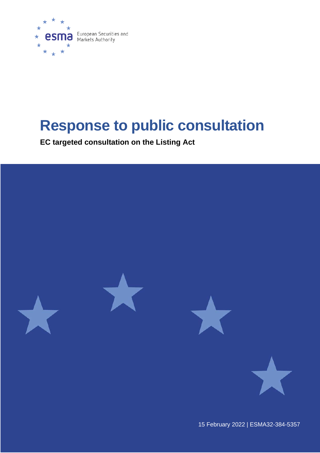

# **Response to public consultation**

**EC targeted consultation on the Listing Act**



15 February 2022 | ESMA32-384-5357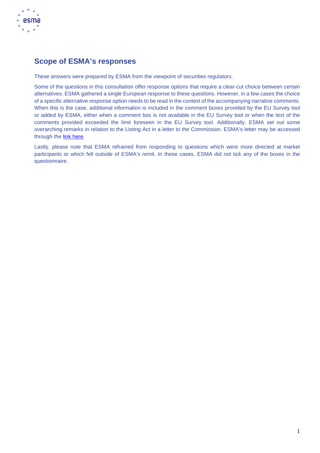

# **Scope of ESMA's responses**

These answers were prepared by ESMA from the viewpoint of securities regulators.

Some of the questions in this consultation offer response options that require a clear-cut choice between certain alternatives. ESMA gathered a single European response to these questions. However, in a few cases the choice of a specific alternative response option needs to be read in the context of the accompanying narrative comments. When this is the case, additional information is included in the comment boxes provided by the EU Survey tool or added by ESMA, either when a comment box is not available in the EU Survey tool or when the text of the comments provided exceeded the limit foreseen in the EU Survey tool. Additionally, ESMA set out some overarching remarks in relation to the Listing Act in a letter to the Commission. ESMA's letter may be accessed through the [link here.](https://www.esma.europa.eu/sites/default/files/library/esma24-436-1152_letter_to_ec_on_listings_act_consultation.pdf)

Lastly, please note that ESMA refrained from responding to questions which were more directed at market participants or which fell outside of ESMA's remit. In these cases, ESMA did not tick any of the boxes in the questionnaire.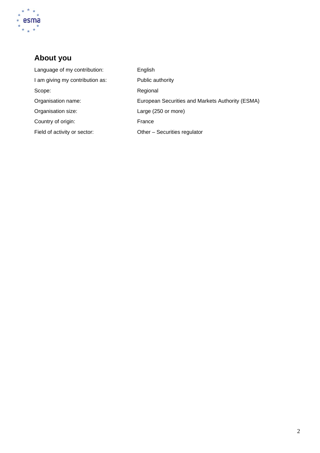

# **About you**

| Language of my contribution:    | English                                          |
|---------------------------------|--------------------------------------------------|
| I am giving my contribution as: | Public authority                                 |
| Scope:                          | Regional                                         |
| Organisation name:              | European Securities and Markets Authority (ESMA) |
| Organisation size:              | Large (250 or more)                              |
| Country of origin:              | France                                           |
| Field of activity or sector:    | Other - Securities regulator                     |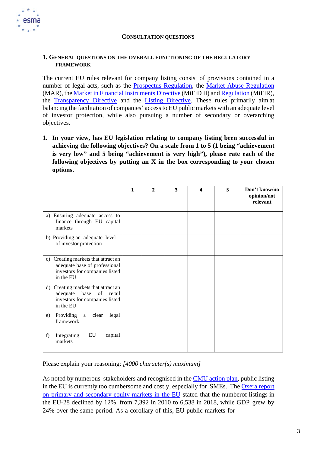

#### **CONSULTATION QUESTIONS**

#### **1. GENERAL QUESTIONS ON THE OVERALL FUNCTIONING OF THE REGULATORY FRAMEWORK**

The current EU rules relevant for company listing consist of provisions contained in a number of legal acts, such as the [Prospectus Regulation,](https://eur-lex.europa.eu/legal-content/EN/TXT/?uri=CELEX%3A32017R1129) the [Market Abuse Regulation](https://eur-lex.europa.eu/legal-content/EN/TXT/?uri=CELEX%3A32014R0596) (MAR), the Market in Financial [Instruments](https://eur-lex.europa.eu/legal-content/EN/TXT/?uri=CELEX%3A32014L0065) Directive (MiFID II) and [Regulation](https://eur-lex.europa.eu/legal-content/EN/TXT/?uri=CELEX%3A32014R0600) (MiFIR), the [Transparency Directive](https://eur-lex.europa.eu/legal-content/EN/ALL/?uri=CELEX%3A32013L0050) and the [Listing Directive. T](https://eur-lex.europa.eu/legal-content/EN/TXT/?uri=celex%3A32001L0034)hese rules primarily aim at balancing the facilitation of companies' access to EU public markets with an adequate level of investor protection, while also pursuing a number of secondary or overarching objectives.

**1. In your view, has EU legislation relating to company listing been successful in achieving the following objectives? On a scale from 1 to 5 (1 being "achievement is very low" and 5 being "achievement is very high"), please rate each of the following objectives by putting an X in the box corresponding to your chosen options.**

|                                                                                                                     | 1 | $\mathbf{2}$ | 3 | 4 | 5 | Don't know/no<br>opinion/not<br>relevant |
|---------------------------------------------------------------------------------------------------------------------|---|--------------|---|---|---|------------------------------------------|
| a) Ensuring adequate access to<br>finance through EU capital<br>markets                                             |   |              |   |   |   |                                          |
| b) Providing an adequate level<br>of investor protection                                                            |   |              |   |   |   |                                          |
| c) Creating markets that attract an<br>adequate base of professional<br>investors for companies listed<br>in the EU |   |              |   |   |   |                                          |
| d) Creating markets that attract an<br>base of retail<br>adequate<br>investors for companies listed<br>in the EU    |   |              |   |   |   |                                          |
| Providing<br>clear<br>legal<br>a<br>e)<br>framework                                                                 |   |              |   |   |   |                                          |
| ${\rm EU}$<br>Integrating<br>capital<br>f)<br>markets                                                               |   |              |   |   |   |                                          |

Please explain your reasoning: *[4000 character(s) maximum]*

As noted by numerous stakeholders and recognised in the [CMU action plan,](https://ec.europa.eu/info/business-economy-euro/growth-and-investment/capital-markets-union/capital-markets-union-2020-action-plan_en) public listing in the EU is currently too cumbersome and costly, especially for SMEs. The [Oxera](https://op.europa.eu/en/publication-detail/-/publication/54e82687-27bb-11eb-9d7e-01aa75ed71a1/language-en/format-PDF/source-search) report on primary and [secondary](https://op.europa.eu/en/publication-detail/-/publication/54e82687-27bb-11eb-9d7e-01aa75ed71a1/language-en/format-PDF/source-search) equity markets in the EU stated that the numberof listings in the EU-28 declined by 12%, from 7,392 in 2010 to 6,538 in 2018, while GDP grew by 24% over the same period. As a corollary of this, EU public markets for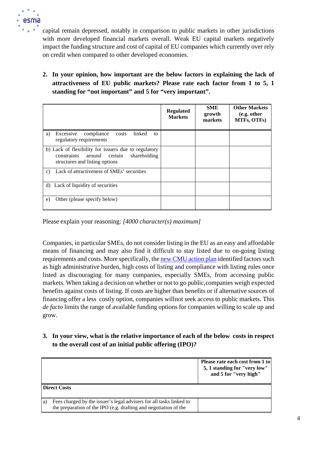

capital remain depressed, notably in comparison to public markets in other jurisdictions with more developed financial markets overall. Weak EU capital markets negatively impact the funding structure and cost of capital of EU companies which currently over rely on credit when compared to other developed economies.

**2. In your opinion, how important are the below factors in explaining the lack of attractiveness of EU public markets? Please rate each factor from 1 to 5, 1 standing for "not important" and 5 for "very important".**

|                                                                                                                                         | <b>Regulated</b><br><b>Markets</b> | <b>SME</b><br>growth<br>markets | <b>Other Markets</b><br>(e.g. other<br>MTFs, OTFs) |
|-----------------------------------------------------------------------------------------------------------------------------------------|------------------------------------|---------------------------------|----------------------------------------------------|
| linked<br>Excessive<br>compliance<br>costs<br>a)<br>to<br>regulatory requirements                                                       |                                    |                                 |                                                    |
| b) Lack of flexibility for issuers due to regulatory<br>around certain<br>constraints<br>shareholding<br>structures and listing options |                                    |                                 |                                                    |
| Lack of attractiveness of SMEs' securities<br>C)                                                                                        |                                    |                                 |                                                    |
| d) Lack of liquidity of securities                                                                                                      |                                    |                                 |                                                    |
| Other (please specify below)<br>e)                                                                                                      |                                    |                                 |                                                    |

Please explain your reasoning: *[4000 character(s) maximum]*

Companies, in particular SMEs, do not consider listing in the EU as an easy and affordable means of financing and may also find it difficult to stay listed due to on-going listing requirements and costs. More specifically, the [new CMU action plan](https://ec.europa.eu/info/business-economy-euro/growth-and-investment/capital-markets-union/capital-markets-union-2020-action-plan_en) identified factors such as high administrative burden, high costs of listing and compliance with listing rules once listed as discouraging for many companies, especially SMEs, from accessing public markets. When taking a decision on whether or not to go public,companies weigh expected benefits against costs of listing. If costs are higher than benefits or if alternative sources of financing offer a less costly option, companies will not seek access to public markets. This *de facto* limits the range of available funding options for companies willing to scale up and grow.

**3. In your view, what is the relative importance of each of the below costs in respect to the overall cost of an initial public offering (IPO)?**

|                                                                                                                                               | Please rate each cost from 1 to<br>5, 1 standing for "very low"<br>and 5 for "very high" |
|-----------------------------------------------------------------------------------------------------------------------------------------------|------------------------------------------------------------------------------------------|
| <b>Direct Costs</b>                                                                                                                           |                                                                                          |
| Fees charged by the issuer's legal advisers for all tasks linked to<br>a.<br>the preparation of the IPO (e.g. drafting and negotiation of the |                                                                                          |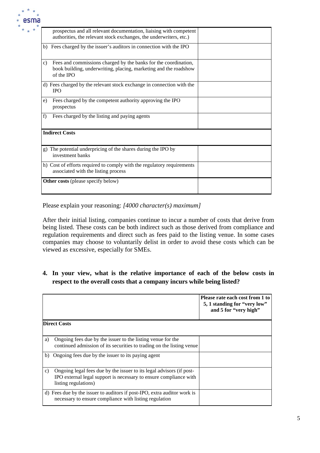

| prospectus and all relevant documentation, liaising with competent<br>authorities, the relevant stock exchanges, the underwriters, etc.)                            |  |
|---------------------------------------------------------------------------------------------------------------------------------------------------------------------|--|
| b) Fees charged by the issuer's auditors in connection with the IPO                                                                                                 |  |
| Fees and commissions charged by the banks for the coordination,<br>$\mathbf{c}$ )<br>book building, underwriting, placing, marketing and the roadshow<br>of the IPO |  |
| d) Fees charged by the relevant stock exchange in connection with the<br><b>IPO</b>                                                                                 |  |
| Fees charged by the competent authority approving the IPO<br>e)<br>prospectus                                                                                       |  |
| Fees charged by the listing and paying agents<br>f)                                                                                                                 |  |
| <b>Indirect Costs</b>                                                                                                                                               |  |
| g) The potential underpricing of the shares during the IPO by<br>investment banks                                                                                   |  |
| h) Cost of efforts required to comply with the regulatory requirements<br>associated with the listing process                                                       |  |
| <b>Other costs</b> (please specify below)                                                                                                                           |  |

Please explain your reasoning: *[4000 character(s) maximum]*

After their initial listing, companies continue to incur a number of costs that derive from being listed. These costs can be both indirect such as those derived from compliance and regulation requirements and direct such as fees paid to the listing venue. In some cases companies may choose to voluntarily delist in order to avoid these costs which can be viewed as excessive, especially for SMEs.

**4. In your view, what is the relative importance of each of the below costs in respect to the overall costs that a company incurs while being listed?**

|    |                                                                                                                                                                   | Please rate each cost from 1 to<br>5, 1 standing for "very low"<br>and 5 for "very high" |
|----|-------------------------------------------------------------------------------------------------------------------------------------------------------------------|------------------------------------------------------------------------------------------|
|    | <b>Direct Costs</b>                                                                                                                                               |                                                                                          |
| a) | Ongoing fees due by the issuer to the listing venue for the<br>continued admission of its securities to trading on the listing venue                              |                                                                                          |
| b) | Ongoing fees due by the issuer to its paying agent                                                                                                                |                                                                                          |
| C) | Ongoing legal fees due by the issuer to its legal advisors (if post-<br>IPO external legal support is necessary to ensure compliance with<br>listing regulations) |                                                                                          |
|    | d) Fees due by the issuer to auditors if post-IPO, extra auditor work is<br>necessary to ensure compliance with listing regulation                                |                                                                                          |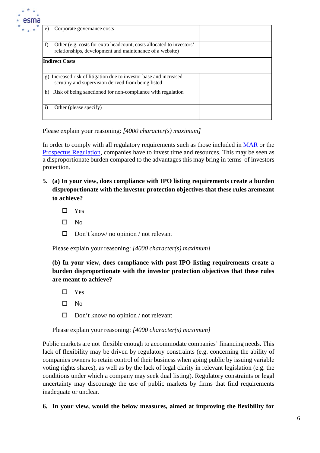

| e)           | Corporate governance costs                                                                                                       |  |
|--------------|----------------------------------------------------------------------------------------------------------------------------------|--|
| f)           | Other (e.g. costs for extra headcount, costs allocated to investors'<br>relationships, development and maintenance of a website) |  |
|              | <b>Indirect Costs</b>                                                                                                            |  |
|              | g) Increased risk of litigation due to investor base and increased<br>scrutiny and supervision derived from being listed         |  |
| h)           | Risk of being sanctioned for non-compliance with regulation                                                                      |  |
| $\mathbf{i}$ | Other (please specify)                                                                                                           |  |

Please explain your reasoning: *[4000 character(s) maximum]*

In order to comply with all regulatory requirements such as those included in [MAR](https://eur-lex.europa.eu/legal-content/EN/TXT/?uri=CELEX%3A32014R0596) or the [Prospectus Regulation,](https://eur-lex.europa.eu/legal-content/EN/TXT/?uri=CELEX%3A32017R1129) companies have to invest time and resources. This may be seen as a disproportionate burden compared to the advantages this may bring in terms of investors protection.

- **5. (a) In your view, does compliance with IPO listing requirements create a burden disproportionate with the investor protection objectives that these rules aremeant to achieve?**
	- □ Yes
	- $\square$  No
	- $\Box$  Don't know/ no opinion / not relevant

Please explain your reasoning: *[4000 character(s) maximum]*

**(b) In your view, does compliance with post-IPO listing requirements create a burden disproportionate with the investor protection objectives that these rules are meant to achieve?**

- □ Yes
- $\square$  No
- $\Box$  Don't know/ no opinion / not relevant

Please explain your reasoning: *[4000 character(s) maximum]*

Public markets are not flexible enough to accommodate companies' financing needs. This lack of flexibility may be driven by regulatory constraints (e.g. concerning the ability of companies owners to retain control of their business when going public by issuing variable voting rights shares), as well as by the lack of legal clarity in relevant legislation (e.g. the conditions under which a company may seek dual listing). Regulatory constraints or legal uncertainty may discourage the use of public markets by firms that find requirements inadequate or unclear.

**6. In your view, would the below measures, aimed at improving the flexibility for**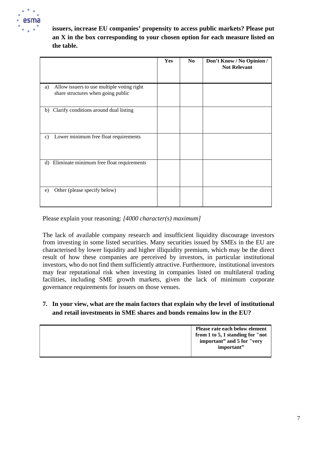

**issuers, increase EU companies' propensity to access public markets? Please put an X in the box corresponding to your chosen option for each measure listed on the table.**

|               |                                                                                  | <b>Yes</b> | N <sub>0</sub> | Don't Know / No Opinion /<br><b>Not Relevant</b> |
|---------------|----------------------------------------------------------------------------------|------------|----------------|--------------------------------------------------|
| a)            | Allow issuers to use multiple voting right<br>share structures when going public |            |                |                                                  |
| b)            | Clarify conditions around dual listing                                           |            |                |                                                  |
| $\mathbf{c})$ | Lower minimum free float requirements                                            |            |                |                                                  |
| d)            | Eliminate minimum free float requirements                                        |            |                |                                                  |
| e)            | Other (please specify below)                                                     |            |                |                                                  |

Please explain your reasoning: *[4000 character(s) maximum]*

The lack of available company research and insufficient liquidity discourage investors from investing in some listed securities. Many securities issued by SMEs in the EU are characterised by lower liquidity and higher illiquidity premium, which may be the direct result of how these companies are perceived by investors, in particular institutional investors, who do not find them sufficiently attractive. Furthermore, institutional investors may fear reputational risk when investing in companies listed on multilateral trading facilities, including SME growth markets, given the lack of minimum corporate governance requirements for issuers on those venues.

## **7. In your view, what are the main factors that explain why the level of institutional and retail investments in SME shares and bonds remains low in the EU?**

| Please rate each below element<br>from 1 to 5, 1 standing for "not"<br>important" and 5 for "very<br>important" |
|-----------------------------------------------------------------------------------------------------------------|
|-----------------------------------------------------------------------------------------------------------------|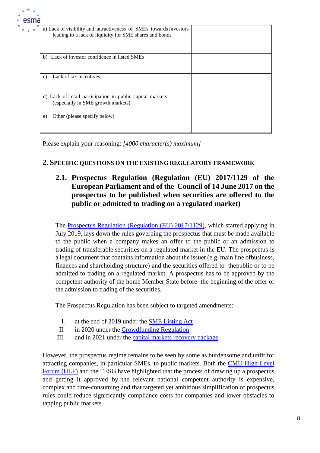| na |                                                                                                                               |  |
|----|-------------------------------------------------------------------------------------------------------------------------------|--|
|    | a) Lack of visibility and attractiveness of SMEs towards investors<br>leading to a lack of liquidity for SME shares and bonds |  |
|    | Lack of investor confidence in listed SMEs<br>b)                                                                              |  |
|    | Lack of tax incentives<br>$\mathcal{C}$ )                                                                                     |  |
|    | d) Lack of retail participation in public capital markets<br>(especially in SME growth markets)                               |  |
|    | Other (please specify below)<br>e)                                                                                            |  |

Please explain your reasoning: *[4000 character(s) maximum]*

# **2. SPECIFIC QUESTIONS ON THE EXISTING REGULATORY FRAMEWORK**

# **2.1. Prospectus Regulation (Regulation (EU) 2017/1129 of the European Parliament and of the Council of 14 June 2017 on the prospectus to be published when securities are offered to the public or admitted to trading on a regulated market)**

The [Prospectus Regulation \(Regulation \(EU\) 2017/1129\),](https://eur-lex.europa.eu/legal-content/EN/TXT/?uri=CELEX%3A32017R1129) which started applying in July 2019, lays down the rules governing the prospectus that must be made available to the public when a company makes an offer to the public or an admission to trading of transferable securities on a regulated market in the EU. The prospectus is a legal document that contains information about the issuer (e.g. main line ofbusiness, finances and shareholding structure) and the securities offered to thepublic or to be admitted to trading on a regulated market. A prospectus has to be approved by the competent authority of the home Member State before the beginning of the offer or the admission to trading of the securities.

The Prospectus Regulation has been subject to targeted amendments:

- I. at the end of 2019 under the SME [Listing](https://eur-lex.europa.eu/legal-content/EN/TXT/?uri=CELEX%3A32019R2115) Act
- II. in 2020 under the [Crowdfunding](https://eur-lex.europa.eu/legal-content/EN/TXT/?uri=CELEX%3A32020R1503) Regulation
- III. and in 2021 under the [capital markets recovery](https://ec.europa.eu/info/publications/200722-proposal-capital-markets-recovery_en) package

However, the prospectus regime remains to be seen by some as burdensome and unfit for attracting companies, in particular SMEs, to public markets. Both the [CMU High Level](https://ec.europa.eu/info/publications/cmu-high-level-forum_en) [Forum \(HLF\)](https://ec.europa.eu/info/publications/cmu-high-level-forum_en) and the TESG have highlighted that the process of drawing up a prospectus and getting it approved by the relevant national competent authority is expensive, complex and time-consuming and that targeted yet ambitious simplification of prospectus rules could reduce significantly compliance costs for companies and lower obstacles to tapping public markets.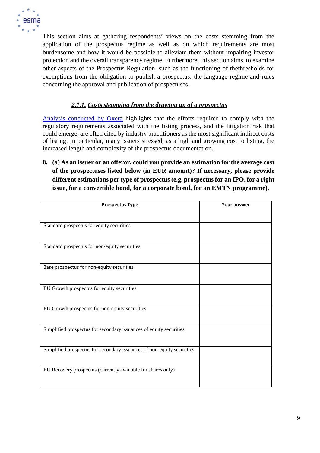

This section aims at gathering respondents' views on the costs stemming from the application of the prospectus regime as well as on which requirements are most burdensome and how it would be possible to alleviate them without impairing investor protection and the overall transparency regime. Furthermore, this section aims to examine other aspects of the Prospectus Regulation, such as the functioning of thethresholds for exemptions from the obligation to publish a prospectus, the language regime and rules concerning the approval and publication of prospectuses.

# *2.1.1. Costs stemming from the drawing up of a prospectus*

[Analysis conducted by Oxera](https://op.europa.eu/en/publication-detail/-/publication/54e82687-27bb-11eb-9d7e-01aa75ed71a1/language-en/format-PDF/source-search) highlights that the efforts required to comply with the regulatory requirements associated with the listing process, and the litigation risk that could emerge, are often cited by industry practitioners as the most significant indirect costs of listing. In particular, many issuers stressed, as a high and growing cost to listing, the increased length and complexity of the prospectus documentation.

**8. (a) As an issuer or an offeror, could you provide an estimation for the average cost of the prospectuses listed below (in EUR amount)? If necessary, please provide different estimations per type of prospectus (e.g. prospectus for an IPO, for a right issue, for a convertible bond, for a corporate bond, for an EMTN programme).**

| <b>Prospectus Type</b>                                                 | <b>Your answer</b> |
|------------------------------------------------------------------------|--------------------|
|                                                                        |                    |
| Standard prospectus for equity securities                              |                    |
| Standard prospectus for non-equity securities                          |                    |
| Base prospectus for non-equity securities                              |                    |
| EU Growth prospectus for equity securities                             |                    |
| EU Growth prospectus for non-equity securities                         |                    |
| Simplified prospectus for secondary issuances of equity securities     |                    |
| Simplified prospectus for secondary issuances of non-equity securities |                    |
| EU Recovery prospectus (currently available for shares only)           |                    |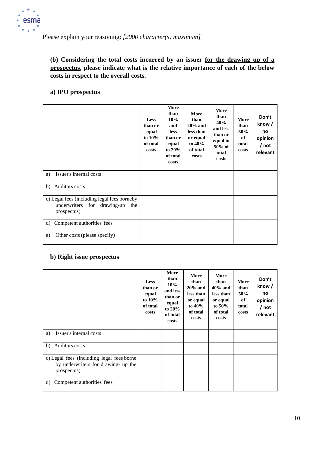

Please explain your reasoning: *[2000 character(s) maximum]*

# **(b) Considering the total costs incurred by an issuer for the drawing up of a prospectus, please indicate what is the relative importance of each of the below costs in respect to the overall costs.**

# **a) IPO prospectus**

|                                                                                                  | <b>Less</b><br>than or<br>equal<br>to 10%<br>of total<br>costs | More<br>than<br>10%<br>and<br><b>less</b><br>than or<br>equal<br>to $20%$<br>of total<br>costs | More<br>than<br>$20%$ and<br>less than<br>or equal<br>to 40%<br>of total<br>costs | More<br>than<br>40%<br>and less<br>than or<br>equal to<br>50% of<br>total<br>costs | More<br>than<br>50%<br>of<br>total<br>costs | Don't<br>know/<br>no<br>opinion<br>$/$ not<br>relevant |
|--------------------------------------------------------------------------------------------------|----------------------------------------------------------------|------------------------------------------------------------------------------------------------|-----------------------------------------------------------------------------------|------------------------------------------------------------------------------------|---------------------------------------------|--------------------------------------------------------|
| Issuer's internal costs<br>a)                                                                    |                                                                |                                                                                                |                                                                                   |                                                                                    |                                             |                                                        |
| b) Auditors costs                                                                                |                                                                |                                                                                                |                                                                                   |                                                                                    |                                             |                                                        |
| c) Legal fees (including legal fees borneby<br>underwriters for drawing-up<br>the<br>prospectus) |                                                                |                                                                                                |                                                                                   |                                                                                    |                                             |                                                        |
| d) Competent authorities' fees                                                                   |                                                                |                                                                                                |                                                                                   |                                                                                    |                                             |                                                        |
| Other costs (please specify)<br>e)                                                               |                                                                |                                                                                                |                                                                                   |                                                                                    |                                             |                                                        |

# **b) Right issue prospectus**

|                                                                                                 | <b>Less</b><br>than or<br>equal<br>to $10\%$<br>of total<br>costs | More<br>than<br>10%<br>and less<br>than or<br>equal<br>to $20%$<br>of total<br>costs | More<br>than<br>$20\%$ and<br>less than<br>or equal<br>to $40\%$<br>of total<br>costs | More<br>than<br>$40\%$ and<br>less than<br>or equal<br>to $50\%$<br>of total<br>costs | More<br>than<br>50%<br>of<br>total<br>costs | Don't<br>know/<br>no<br>opinion<br>/ not<br>relevant |
|-------------------------------------------------------------------------------------------------|-------------------------------------------------------------------|--------------------------------------------------------------------------------------|---------------------------------------------------------------------------------------|---------------------------------------------------------------------------------------|---------------------------------------------|------------------------------------------------------|
| Issuer's internal costs<br>a)                                                                   |                                                                   |                                                                                      |                                                                                       |                                                                                       |                                             |                                                      |
| Auditors costs<br>b)                                                                            |                                                                   |                                                                                      |                                                                                       |                                                                                       |                                             |                                                      |
| c) Legal fees (including legal fees borne<br>by underwriters for drawing- up the<br>prospectus) |                                                                   |                                                                                      |                                                                                       |                                                                                       |                                             |                                                      |
| Competent authorities' fees<br>d)                                                               |                                                                   |                                                                                      |                                                                                       |                                                                                       |                                             |                                                      |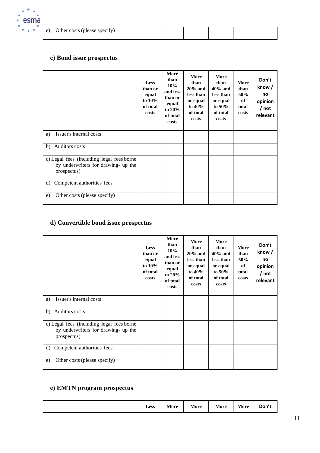

| e) | Other costs (please specify) |  |  |  |
|----|------------------------------|--|--|--|
|    |                              |  |  |  |

# **c) Bond issue prospectus**

|                                                                                                 | Less<br>than or<br>equal<br>to $10\%$<br>of total<br>costs | More<br>than<br>$10\%$<br>and less<br>than or<br>equal<br>to $20\%$<br>of total<br>costs | More<br>than<br>$20%$ and<br>less than<br>or equal<br>to $40\%$<br>of total<br>costs | More<br>than<br>$40\%$ and<br>less than<br>or equal<br>to $50\%$<br>of total<br>costs | More<br>than<br>50%<br>of<br>total<br>costs | Don't<br>know/<br>no<br>opinion<br>/ not<br>relevant |
|-------------------------------------------------------------------------------------------------|------------------------------------------------------------|------------------------------------------------------------------------------------------|--------------------------------------------------------------------------------------|---------------------------------------------------------------------------------------|---------------------------------------------|------------------------------------------------------|
| Issuer's internal costs<br>a)                                                                   |                                                            |                                                                                          |                                                                                      |                                                                                       |                                             |                                                      |
| Auditors costs<br>b)                                                                            |                                                            |                                                                                          |                                                                                      |                                                                                       |                                             |                                                      |
| c) Legal fees (including legal fees borne<br>by underwriters for drawing- up the<br>prospectus) |                                                            |                                                                                          |                                                                                      |                                                                                       |                                             |                                                      |
| d) Competent authorities' fees                                                                  |                                                            |                                                                                          |                                                                                      |                                                                                       |                                             |                                                      |
| Other costs (please specify)<br>e)                                                              |                                                            |                                                                                          |                                                                                      |                                                                                       |                                             |                                                      |

# **d) Convertible bond issue prospectus**

|                                                                                                 | <b>Less</b><br>than or<br>equal<br>to $10\%$<br>of total<br>costs | More<br>than<br>10%<br>and less<br>than or<br>equal<br>to $20\%$<br>of total<br>costs | More<br>than<br>$20%$ and<br>less than<br>or equal<br>to $40\%$<br>of total<br>costs | More<br>than<br>$40\%$ and<br>less than<br>or equal<br>to $50\%$<br>of total<br>costs | More<br>than<br>50%<br>of<br>total<br>costs | Don't<br>know /<br>no<br>opinion<br>/ not<br>relevant |
|-------------------------------------------------------------------------------------------------|-------------------------------------------------------------------|---------------------------------------------------------------------------------------|--------------------------------------------------------------------------------------|---------------------------------------------------------------------------------------|---------------------------------------------|-------------------------------------------------------|
| Issuer's internal costs<br>a)                                                                   |                                                                   |                                                                                       |                                                                                      |                                                                                       |                                             |                                                       |
| Auditors costs<br>b)                                                                            |                                                                   |                                                                                       |                                                                                      |                                                                                       |                                             |                                                       |
| c) Legal fees (including legal fees borne<br>by underwriters for drawing- up the<br>prospectus) |                                                                   |                                                                                       |                                                                                      |                                                                                       |                                             |                                                       |
| Competent authorities' fees<br>d)                                                               |                                                                   |                                                                                       |                                                                                      |                                                                                       |                                             |                                                       |
| Other costs (please specify)<br>e)                                                              |                                                                   |                                                                                       |                                                                                      |                                                                                       |                                             |                                                       |

# **e) EMTN program prospectus**

|  |  | <b>Less</b> | More | More | More | More | Don' |
|--|--|-------------|------|------|------|------|------|
|--|--|-------------|------|------|------|------|------|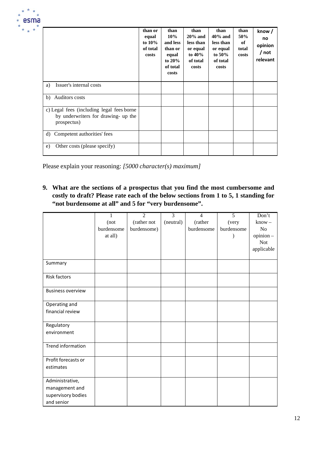|                                                                                                 | than or<br>equal<br>to $10\%$<br>of total<br>costs | than<br>10%<br>and less<br>than or<br>equal<br>to $20%$<br>of total<br>costs | than<br>$20\%$ and<br>less than<br>or equal<br>to $40\%$<br>of total<br>costs | than<br>$40\%$ and<br>less than<br>or equal<br>to $50\%$<br>of total<br>costs | than<br>50%<br>of<br>total<br>costs | know /<br>no<br>opinion<br>/ not<br>relevant |
|-------------------------------------------------------------------------------------------------|----------------------------------------------------|------------------------------------------------------------------------------|-------------------------------------------------------------------------------|-------------------------------------------------------------------------------|-------------------------------------|----------------------------------------------|
| Issuer's internal costs<br>a)                                                                   |                                                    |                                                                              |                                                                               |                                                                               |                                     |                                              |
| Auditors costs<br>b)                                                                            |                                                    |                                                                              |                                                                               |                                                                               |                                     |                                              |
| c) Legal fees (including legal fees borne<br>by underwriters for drawing- up the<br>prospectus) |                                                    |                                                                              |                                                                               |                                                                               |                                     |                                              |
| Competent authorities' fees<br>d)                                                               |                                                    |                                                                              |                                                                               |                                                                               |                                     |                                              |
| Other costs (please specify)<br>e)                                                              |                                                    |                                                                              |                                                                               |                                                                               |                                     |                                              |

Please explain your reasoning: *[5000 character(s) maximum]*

**9. What are the sections of a prospectus that you find the most cumbersome and costly to draft? Please rate each of the below sections from 1 to 5, 1 standing for "not burdensome at all" and 5 for "very burdensome".**

|                          | 1          | $\overline{2}$ | $\overline{3}$ | $\overline{4}$ | $\overline{5}$ | Don't      |
|--------------------------|------------|----------------|----------------|----------------|----------------|------------|
|                          | (not       | (rather not    | (neutral)      | (rather        | (very          | $know -$   |
|                          | burdensome | burdensome)    |                | burdensome     | burdensome     | No         |
|                          | at all)    |                |                |                |                | opinion-   |
|                          |            |                |                |                |                | <b>Not</b> |
|                          |            |                |                |                |                | applicable |
|                          |            |                |                |                |                |            |
| Summary                  |            |                |                |                |                |            |
| <b>Risk factors</b>      |            |                |                |                |                |            |
| <b>Business overview</b> |            |                |                |                |                |            |
| Operating and            |            |                |                |                |                |            |
| financial review         |            |                |                |                |                |            |
| Regulatory               |            |                |                |                |                |            |
| environment              |            |                |                |                |                |            |
| <b>Trend information</b> |            |                |                |                |                |            |
| Profit forecasts or      |            |                |                |                |                |            |
| estimates                |            |                |                |                |                |            |
| Administrative,          |            |                |                |                |                |            |
| management and           |            |                |                |                |                |            |
| supervisory bodies       |            |                |                |                |                |            |
| and senior               |            |                |                |                |                |            |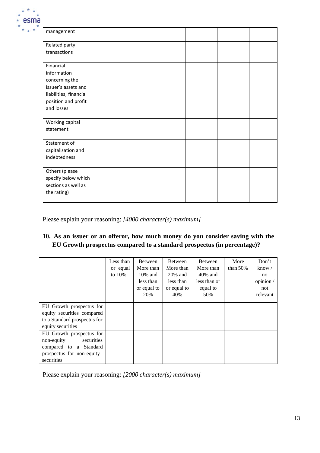

| management             |  |  |  |
|------------------------|--|--|--|
| Related party          |  |  |  |
| transactions           |  |  |  |
| Financial              |  |  |  |
| information            |  |  |  |
| concerning the         |  |  |  |
| issuer's assets and    |  |  |  |
| liabilities, financial |  |  |  |
| position and profit    |  |  |  |
| and losses             |  |  |  |
| Working capital        |  |  |  |
| statement              |  |  |  |
| Statement of           |  |  |  |
| capitalisation and     |  |  |  |
| indebtedness           |  |  |  |
| Others (please         |  |  |  |
| specify below which    |  |  |  |
| sections as well as    |  |  |  |
| the rating)            |  |  |  |
|                        |  |  |  |

Please explain your reasoning: *[4000 character(s) maximum]*

# **10. As an issuer or an offeror, how much money do you consider saving with the EU Growth prospectus compared to a standard prospectus (in percentage)?**

|                              | Less than | <b>Between</b> | <b>Between</b> | <b>Between</b> | More        | Don't          |
|------------------------------|-----------|----------------|----------------|----------------|-------------|----------------|
|                              | or equal  | More than      | More than      | More than      | than $50\%$ | know $\sqrt{}$ |
|                              | to $10\%$ | $10\%$ and     | $20\%$ and     | $40\%$ and     |             | no             |
|                              |           | less than      | less than      | less than or   |             | opinion/       |
|                              |           | or equal to    | or equal to    | equal to       |             | not            |
|                              |           | 20%            | 40%            | 50%            |             | relevant       |
|                              |           |                |                |                |             |                |
| EU Growth prospectus for     |           |                |                |                |             |                |
| equity securities compared   |           |                |                |                |             |                |
| to a Standard prospectus for |           |                |                |                |             |                |
| equity securities            |           |                |                |                |             |                |
| EU Growth prospectus for     |           |                |                |                |             |                |
| securities<br>non-equity     |           |                |                |                |             |                |
| compared to a Standard       |           |                |                |                |             |                |
| prospectus for non-equity    |           |                |                |                |             |                |
| securities                   |           |                |                |                |             |                |

Please explain your reasoning: *[2000 character(s) maximum]*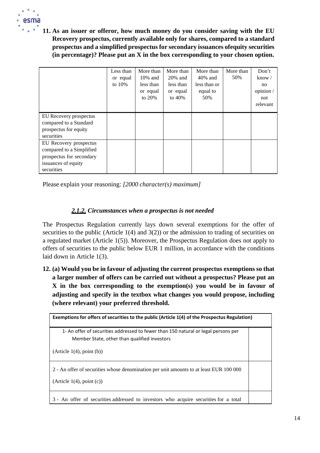

**11. As an issuer or offeror, how much money do you consider saving with the EU Recovery prospectus, currently available only for shares, compared to a standard prospectus and a simplified prospectus for secondary issuances ofequity securities (in percentage)? Please put an X in the box corresponding to your chosen option.**

|                          | Less than | More than  | More than  | More than    | More than | Don't          |
|--------------------------|-----------|------------|------------|--------------|-----------|----------------|
|                          | or equal  | $10\%$ and | $20\%$ and | $40\%$ and   | 50%       | know $\sqrt{}$ |
|                          | to $10\%$ | less than  | less than  | less than or |           | no             |
|                          |           | or equal   | or equal   | equal to     |           | opinion /      |
|                          |           | to $20\%$  | to $40\%$  | 50%          |           | not            |
|                          |           |            |            |              |           | relevant       |
|                          |           |            |            |              |           |                |
| EU Recovery prospectus   |           |            |            |              |           |                |
| compared to a Standard   |           |            |            |              |           |                |
| prospectus for equity    |           |            |            |              |           |                |
| securities               |           |            |            |              |           |                |
| EU Recovery prospectus   |           |            |            |              |           |                |
| compared to a Simplified |           |            |            |              |           |                |
| prospectus for secondary |           |            |            |              |           |                |
| issuances of equity      |           |            |            |              |           |                |
| securities               |           |            |            |              |           |                |

Please explain your reasoning: *[2000 character(s) maximum]*

#### *2.1.2. Circumstances when a prospectus is not needed*

The Prospectus Regulation currently lays down several exemptions for the offer of securities to the public (Article  $1(4)$  and  $3(2)$ ) or the admission to trading of securities on a regulated market (Article 1(5)). Moreover, the Prospectus Regulation does not apply to offers of securities to the public below EUR 1 million, in accordance with the conditions laid down in Article 1(3).

**12. (a) Would you be in favour of adjusting the current prospectus exemptions so that a larger number of offers can be carried out without a prospectus? Please put an X in the box corresponding to the exemption(s) you would be in favour of adjusting and specify in the textbox what changes you would propose, including (where relevant) your preferred threshold.**

| Exemptions for offers of securities to the public (Article 1(4) of the Prospectus Regulation) |  |
|-----------------------------------------------------------------------------------------------|--|
| 1- An offer of securities addressed to fewer than 150 natural or legal persons per            |  |
| Member State, other than qualified investors                                                  |  |
| (Article 1(4), point (b))                                                                     |  |
| 2 - An offer of securities whose denomination per unit amounts to at least EUR 100 000        |  |
| (Article 1(4), point (c))                                                                     |  |
| 3 - An offer of securities addressed to investors who acquire securities for a total          |  |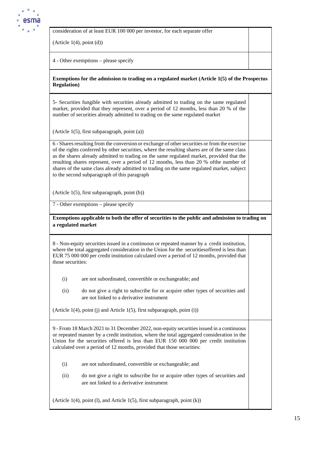

consideration of at least EUR 100 000 per investor, for each separate offer

 $(Article 1(4), point (d))$ 

4 - Other exemptions – please specify

**Exemptions for the admission to trading on a regulated market (Article 1(5) of the Prospectus Regulation)**

5- Securities fungible with securities already admitted to trading on the same regulated market, provided that they represent, over a period of 12 months, less than 20 % of the number of securities already admitted to trading on the same regulated market

(Article 1(5), first subparagraph, point (a))

6 - Shares resulting from the conversion or exchange of other securities or from the exercise of the rights conferred by other securities, where the resulting shares are of the same class as the shares already admitted to trading on the same regulated market, provided that the resulting shares represent, over a period of 12 months, less than 20 % ofthe number of shares of the same class already admitted to trading on the same regulated market, subject to the second subparagraph of this paragraph

(Article 1(5), first subparagraph, point (b))

7 - Other exemptions – please specify

#### **Exemptions applicable to both the offer of securities to the public and admission to trading on a regulated market**

8 - Non-equity securities issued in a continuous or repeated manner by a credit institution, where the total aggregated consideration in the Union for the securitiesoffered is less than EUR 75 000 000 per credit institution calculated over a period of 12 months, provided that those securities:

- (i) are not subordinated, convertible or exchangeable; and
- (ii) do not give a right to subscribe for or acquire other types of securities and are not linked to a derivative instrument

(Article  $1(4)$ , point (j) and Article  $1(5)$ , first subparagraph, point (i))

9 - From 18 March 2021 to 31 December 2022, non-equity securities issued in a continuous or repeated manner by a credit institution, where the total aggregated consideration in the Union for the securities offered is less than EUR 150 000 000 per credit institution calculated over a period of 12 months, provided that those securities:

- (i) are not subordinated, convertible or exchangeable; and
- (ii) do not give a right to subscribe for or acquire other types of securities and are not linked to a derivative instrument

(Article 1(4), point (l), and Article 1(5), first subparagraph, point (k))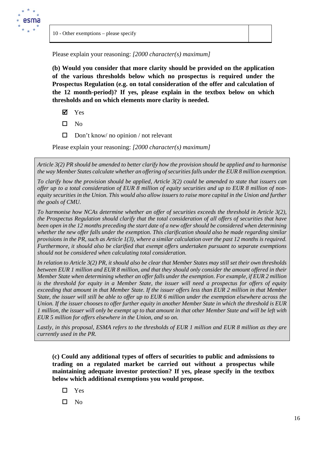

Please explain your reasoning: *[2000 character(s) maximum]*

**(b) Would you consider that more clarity should be provided on the application of the various thresholds below which no prospectus is required under the Prospectus Regulation (e.g. on total consideration of the offer and calculation of the 12 month-period)? If yes, please explain in the textbox below on which thresholds and on which elements more clarity is needed.**

- Yes
- $\square$  No
- $\Box$  Don't know/ no opinion / not relevant

Please explain your reasoning: *[2000 character(s) maximum]*

*Article 3(2) PR should be amended to better clarify how the provision should be applied and to harmonise the way Member States calculate whether an offering of securities falls under the EUR 8 million exemption.* 

*To clarify how the provision should be applied, Article 3(2) could be amended to state that issuers can offer up to a total consideration of EUR 8 million of equity securities and up to EUR 8 million of nonequity securities in the Union. This would also allow issuers to raise more capital in the Union and further the goals of CMU.* 

*To harmonise how NCAs determine whether an offer of securities exceeds the threshold in Article 3(2), the Prospectus Regulation should clarify that the total consideration of all offers of securities that have been open in the 12 months preceding the start date of a new offer should be considered when determining whether the new offer falls under the exemption. This clarification should also be made regarding similar provisions in the PR, such as Article 1(3), where a similar calculation over the past 12 months is required. Furthermore, it should also be clarified that exempt offers undertaken pursuant to separate exemptions should not be considered when calculating total consideration.* 

*In relation to Article 3(2) PR, it should also be clear that Member States may still set their own thresholds between EUR 1 million and EUR 8 million, and that they should only consider the amount offered in their Member State when determining whether an offer falls under the exemption. For example, if EUR 2 million is the threshold for equity in a Member State, the issuer will need a prospectus for offers of equity exceeding that amount in that Member State. If the issuer offers less than EUR 2 million in that Member State, the issuer will still be able to offer up to EUR 6 million under the exemption elsewhere across the Union. If the issuer chooses to offer further equity in another Member State in which the threshold is EUR 1 million, the issuer will only be exempt up to that amount in that other Member State and will be left with EUR 5 million for offers elsewhere in the Union, and so on.*

*Lastly, in this proposal, ESMA refers to the thresholds of EUR 1 million and EUR 8 million as they are currently used in the PR.*

**(c) Could any additional types of offers of securities to public and admissions to trading on a regulated market be carried out without a prospectus while maintaining adequate investor protection? If yes, please specify in the textbox below which additional exemptions you would propose.**

- □ Yes
- $\square$  No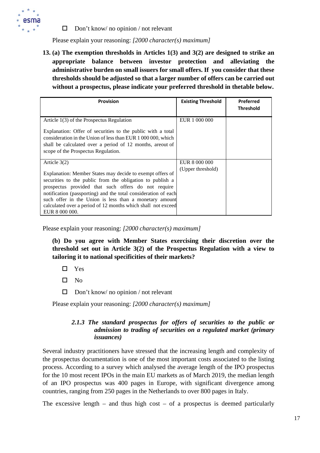

 $\Box$  Don't know/ no opinion / not relevant

Please explain your reasoning: *[2000 character(s) maximum]*

**13. (a) The exemption thresholds in Articles 1(3) and 3(2) are designed to strike an appropriate balance between investor protection and alleviating the administrative burden on small issuers for small offers. If you consider that these thresholds should be adjusted so that a larger number of offers can be carried out without a prospectus, please indicate your preferred threshold in thetable below.**

| <b>Provision</b>                                                                                                                                                                                                                                                                                                                                                                                              | <b>Existing Threshold</b>          | Preferred<br><b>Threshold</b> |
|---------------------------------------------------------------------------------------------------------------------------------------------------------------------------------------------------------------------------------------------------------------------------------------------------------------------------------------------------------------------------------------------------------------|------------------------------------|-------------------------------|
| Article 1(3) of the Prospectus Regulation<br>Explanation: Offer of securities to the public with a total<br>consideration in the Union of less than EUR 1 000 000, which<br>shall be calculated over a period of 12 months, areout of<br>scope of the Prospectus Regulation.                                                                                                                                  | EUR 1 000 000                      |                               |
| Article $3(2)$<br>Explanation: Member States may decide to exempt offers of<br>securities to the public from the obligation to publish a<br>prospectus provided that such offers do not require<br>notification (passporting) and the total consideration of each<br>such offer in the Union is less than a monetary amount<br>calculated over a period of 12 months which shall not exceed<br>EUR 8 000 000. | EUR 8 000 000<br>(Upper threshold) |                               |

Please explain your reasoning: *[2000 character(s) maximum]*

**(b) Do you agree with Member States exercising their discretion over the threshold set out in Article 3(2) of the Prospectus Regulation with a view to tailoring it to national specificities of their markets?**

- □ Yes
- $\square$  No
- $\Box$  Don't know/ no opinion / not relevant

Please explain your reasoning: *[2000 character(s) maximum]*

#### *2.1.3 The standard prospectus for offers of securities to the public or admission to trading of securities on a regulated market (primary issuances)*

Several industry practitioners have stressed that the increasing length and complexity of the prospectus documentation is one of the most important costs associated to the listing process. According to a survey which analysed the average length of the IPO prospectus for the 10 most recent IPOs in the main EU markets as of March 2019, the median length of an IPO prospectus was 400 pages in Europe, with significant divergence among countries, ranging from 250 pages in the Netherlands to over 800 pages in Italy.

The excessive length – and thus high cost – of a prospectus is deemed particularly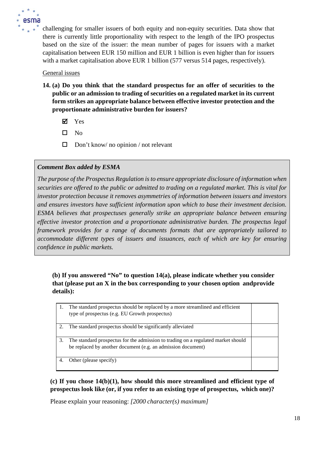

challenging for smaller issuers of both equity and non-equity securities. Data show that there is currently little proportionality with respect to the length of the IPO prospectus based on the size of the issuer: the mean number of pages for issuers with a market capitalisation between EUR 150 million and EUR 1 billion is even higher than for issuers with a market capitalisation above EUR 1 billion (577 versus 514 pages, respectively).

#### General issues

- **14. (a) Do you think that the standard prospectus for an offer of securities to the public or an admission to trading of securities on a regulated market in its current form strikes an appropriate balance between effective investor protection and the proportionate administrative burden for issuers?**
	- Yes
	- $\square$  No
	- $\Box$  Don't know/ no opinion / not relevant

## *Comment Box added by ESMA*

*The purpose of the Prospectus Regulation is to ensure appropriate disclosure of information when securities are offered to the public or admitted to trading on a regulated market. This is vital for investor protection because it removes asymmetries of information between issuers and investors and ensures investors have sufficient information upon which to base their investment decision. ESMA believes that prospectuses generally strike an appropriate balance between ensuring effective investor protection and a proportionate administrative burden. The prospectus legal framework provides for a range of documents formats that are appropriately tailored to accommodate different types of issuers and issuances, each of which are key for ensuring confidence in public markets.*

# **(b) If you answered "No" to question 14(a), please indicate whether you consider that (please put an X in the box corresponding to your chosen option andprovide details):**

|                | The standard prospectus should be replaced by a more streamlined and efficient<br>type of prospectus (e.g. EU Growth prospectus)                  |  |
|----------------|---------------------------------------------------------------------------------------------------------------------------------------------------|--|
| 2.             | The standard prospectus should be significantly alleviated                                                                                        |  |
| 3.             | The standard prospectus for the admission to trading on a regulated market should<br>be replaced by another document (e.g. an admission document) |  |
| $\overline{4}$ | Other (please specify)                                                                                                                            |  |

**(c) If you chose 14(b)(1), how should this more streamlined and efficient type of prospectus look like (or, if you refer to an existing type of prospectus, which one)?**

Please explain your reasoning: *[2000 character(s) maximum]*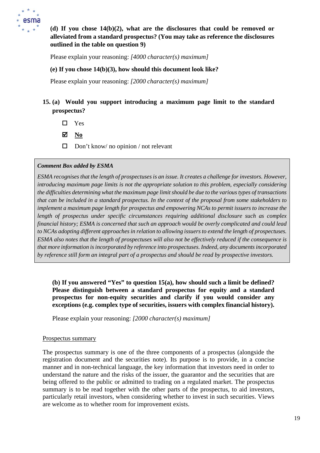

**(d) If you chose 14(b)(2), what are the disclosures that could be removed or alleviated from a standard prospectus? (You may take as reference the disclosures outlined in the table on question 9)**

Please explain your reasoning: *[4000 character(s) maximum]*

#### **(e) If you chose 14(b)(3), how should this document look like?**

Please explain your reasoning: *[2000 character(s) maximum]*

# **15. (a) Would you support introducing a maximum page limit to the standard prospectus?**

□ Yes

**No**

 $\Box$  Don't know/ no opinion / not relevant

#### *Comment Box added by ESMA*

*ESMA recognises that the length of prospectuses is an issue. It creates a challenge for investors. However, introducing maximum page limits is not the appropriate solution to this problem, especially considering the difficulties determining what the maximum page limit should be due to the various types of transactions that can be included in a standard prospectus. In the context of the proposal from some stakeholders to implement a maximum page length for prospectus and empowering NCAs to permit issuers to increase the length of prospectus under specific circumstances requiring additional disclosure such as complex financial history; ESMA is concerned that such an approach would be overly complicated and could lead to NCAs adopting different approaches in relation to allowing issuers to extend the length of prospectuses. ESMA also notes that the length of prospectuses will also not be effectively reduced if the consequence is that more information is incorporated by reference into prospectuses. Indeed, any documents incorporated by reference still form an integral part of a prospectus and should be read by prospective investors.*

**(b) If you answered "Yes" to question 15(a), how should such a limit be defined? Please distinguish between a standard prospectus for equity and a standard prospectus for non-equity securities and clarify if you would consider any exceptions (e.g. complex type of securities, issuers with complex financial history).**

Please explain your reasoning: *[2000 character(s) maximum]*

#### Prospectus summary

The prospectus summary is one of the three components of a prospectus (alongside the registration document and the securities note). Its purpose is to provide, in a concise manner and in non-technical language, the key information that investors need in order to understand the nature and the risks of the issuer, the guarantor and the securities that are being offered to the public or admitted to trading on a regulated market. The prospectus summary is to be read together with the other parts of the prospectus, to aid investors, particularly retail investors, when considering whether to invest in such securities. Views are welcome as to whether room for improvement exists.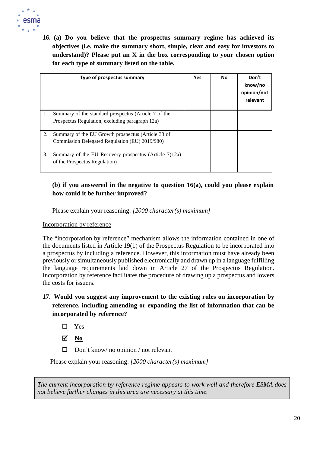

**16. (a) Do you believe that the prospectus summary regime has achieved its objectives (i.e. make the summary short, simple, clear and easy for investors to understand)? Please put an X in the box corresponding to your chosen option for each type of summary listed on the table.**

|    | Type of prospectus summary                                                                              | <b>Yes</b> | No | Don't<br>know/no<br>opinion/not<br>relevant |
|----|---------------------------------------------------------------------------------------------------------|------------|----|---------------------------------------------|
| 1. | Summary of the standard prospectus (Article 7 of the<br>Prospectus Regulation, excluding paragraph 12a) |            |    |                                             |
| 2. | Summary of the EU Growth prospectus (Article 33 of<br>Commission Delegated Regulation (EU) 2019/980)    |            |    |                                             |
| 3. | Summary of the EU Recovery prospectus (Article 7(12a)<br>of the Prospectus Regulation)                  |            |    |                                             |

# **(b) if you answered in the negative to question 16(a), could you please explain how could it be further improved?**

Please explain your reasoning: *[2000 character(s) maximum]*

Incorporation by reference

The "incorporation by reference" mechanism allows the information contained in one of the documents listed in Article 19(1) of the Prospectus Regulation to be incorporated into a prospectus by including a reference. However, this information must have already been previously or simultaneously published electronically and drawn up in a language fulfilling the language requirements laid down in Article 27 of the Prospectus Regulation. Incorporation by reference facilitates the procedure of drawing up a prospectus and lowers the costs for issuers.

# **17. Would you suggest any improvement to the existing rules on incorporation by reference, including amending or expanding the list of information that can be incorporated by reference?**

- Yes
- **No**
- $\Box$  Don't know/ no opinion / not relevant

Please explain your reasoning: *[2000 character(s) maximum]*

*The current incorporation by reference regime appears to work well and therefore ESMA does not believe further changes in this area are necessary at this time.*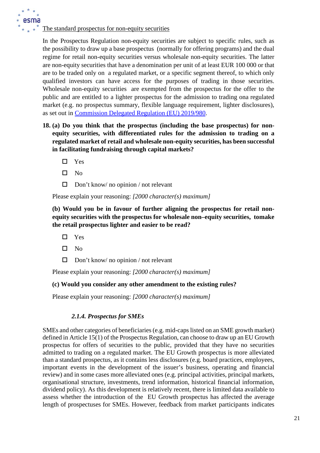The standard prospectus for non-equity securities

In the Prospectus Regulation non-equity securities are subject to specific rules, such as the possibility to draw up a base prospectus (normally for offering programs) and the dual regime for retail non-equity securities versus wholesale non-equity securities. The latter are non-equity securities that have a denomination per unit of at least EUR 100 000 or that are to be traded only on a regulated market, or a specific segment thereof, to which only qualified investors can have access for the purposes of trading in those securities. Wholesale non-equity securities are exempted from the prospectus for the offer to the public and are entitled to a lighter prospectus for the admission to trading ona regulated market (e.g. no prospectus summary, flexible language requirement, lighter disclosures), as set out in [Commission Delegated Regulation \(EU\)](https://eur-lex.europa.eu/legal-content/EN/TXT/?uri=CELEX%3A32019R0980) 2019/980.

- **18. (a) Do you think that the prospectus (including the base prospectus) for nonequity securities, with differentiated rules for the admission to trading on a regulated market of retail and wholesale non-equity securities, has been successful in facilitating fundraising through capital markets?**
	- □ Yes
	- $\square$  No
	- $\Box$  Don't know/ no opinion / not relevant

Please explain your reasoning: *[2000 character(s) maximum]*

**(b) Would you be in favour of further aligning the prospectus for retail nonequity securities with the prospectus for wholesale non–equity securities, tomake the retail prospectus lighter and easier to be read?**

- Yes
- $\square$  No
- $\Box$  Don't know/ no opinion / not relevant

Please explain your reasoning: *[2000 character(s) maximum]*

#### **(c) Would you consider any other amendment to the existing rules?**

Please explain your reasoning: *[2000 character(s) maximum]*

#### *2.1.4. Prospectus for SMEs*

SMEs and other categories of beneficiaries (e.g. mid-caps listed on an SME growth market) defined in Article 15(1) of the Prospectus Regulation, can choose to draw up an EU Growth prospectus for offers of securities to the public, provided that they have no securities admitted to trading on a regulated market. The EU Growth prospectus is more alleviated than a standard prospectus, as it contains less disclosures (e.g. board practices, employees, important events in the development of the issuer's business, operating and financial review) and in some cases more alleviated ones (e.g. principal activities, principal markets, organisational structure, investments, trend information, historical financial information, dividend policy). As this development is relatively recent, there is limited data available to assess whether the introduction of the EU Growth prospectus has affected the average length of prospectuses for SMEs. However, feedback from market participants indicates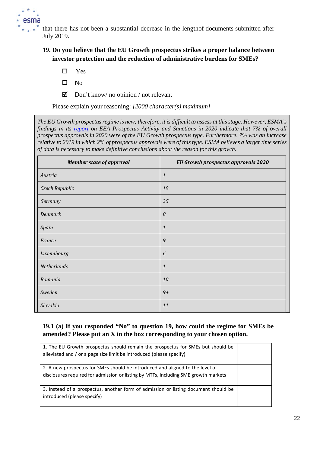

that there has not been a substantial decrease in the lengthof documents submitted after July 2019.

**19. Do you believe that the EU Growth prospectus strikes a proper balance between investor protection and the reduction of administrative burdens for SMEs?**

- Yes
- $\square$  No
- $\boxtimes$  Don't know/ no opinion / not relevant

Please explain your reasoning: *[2000 character(s) maximum]*

*The EU Growth prospectus regime is new; therefore, it is difficult to assess at this stage. However, ESMA's findings in its [report](https://www.esma.europa.eu/sites/default/files/library/esma32-382-1153_prospectus_activity_and_sanctions_report_2020.pdf) on EEA Prospectus Activity and Sanctions in 2020 indicate that 7% of overall prospectus approvals in 2020 were of the EU Growth prospectus type. Furthermore, 7% was an increase relative to 2019 in which 2% of prospectus approvals were of this type. ESMA believes a larger time series of data is necessary to make definitive conclusions about the reason for this growth.*

| <b>Member state of approval</b> | EU Growth prospectus approvals 2020 |
|---------------------------------|-------------------------------------|
| Austria                         | $\mathbf{1}$                        |
| Czech Republic                  | 19                                  |
| Germany                         | 25                                  |
| <b>Denmark</b>                  | 8                                   |
| Spain                           | $\mathbf{1}$                        |
| France                          | 9                                   |
| Luxembourg                      | 6                                   |
| Netherlands                     | $\mathbf{1}$                        |
| Romania                         | 10                                  |
| Sweden                          | 94                                  |
| Slovakia                        | 11                                  |

## **19.1 (a) If you responded "No" to question 19, how could the regime for SMEs be amended? Please put an X in the box corresponding to your chosen option.**

| 1. The EU Growth prospectus should remain the prospectus for SMEs but should be<br>alleviated and / or a page size limit be introduced (please specify)              |  |
|----------------------------------------------------------------------------------------------------------------------------------------------------------------------|--|
| 2. A new prospectus for SMEs should be introduced and aligned to the level of<br>disclosures required for admission or listing by MTFs, including SME growth markets |  |
| 3. Instead of a prospectus, another form of admission or listing document should be<br>introduced (please specify)                                                   |  |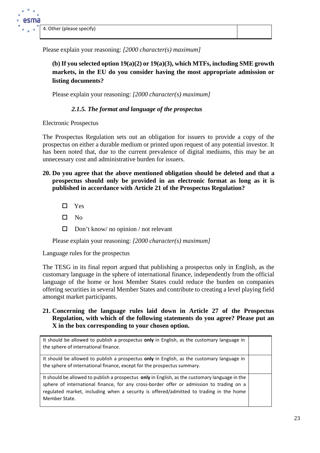Please explain your reasoning: *[2000 character(s) maximum]*

**(b) If you selected option 19(a)(2) or 19(a)(3), which MTFs, including SME growth markets, in the EU do you consider having the most appropriate admission or listing documents?**

Please explain your reasoning: *[2000 character(s) maximum]*

## *2.1.5. The format and language of the prospectus*

Electronic Prospectus

The Prospectus Regulation sets out an obligation for issuers to provide a copy of the prospectus on either a durable medium or printed upon request of any potential investor. It has been noted that, due to the current prevalence of digital mediums, this may be an unnecessary cost and administrative burden for issuers.

- **20. Do you agree that the above mentioned obligation should be deleted and that a prospectus should only be provided in an electronic format as long as it is published in accordance with Article 21 of the Prospectus Regulation?**
	- □ Yes
	- $\square$  No
	- $\Box$  Don't know/ no opinion / not relevant

Please explain your reasoning: *[2000 character(s) maximum]*

Language rules for the prospectus

The TESG in its final report argued that publishing a prospectus only in English, as the customary language in the sphere of international finance, independently from the official language of the home or host Member States could reduce the burden on companies offering securities in several Member States and contribute to creating a level playing field amongst market participants.

**21. Concerning the language rules laid down in Article 27 of the Prospectus Regulation, with which of the following statements do you agree? Please put an X in the box corresponding to your chosen option.**

It should be allowed to publish a prospectus **only** in English, as the customary language in the sphere of international finance.

It should be allowed to publish a prospectus **only** in English, as the customary language in the sphere of international finance, except for the prospectus summary.

It should be allowed to publish a prospectus **only** in English, as the customary language in the sphere of international finance, for any cross-border offer or admission to trading on a regulated market, including when a security is offered/admitted to trading in the home Member State.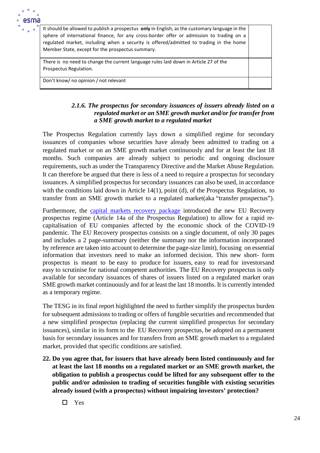

It should be allowed to publish a prospectus **only** in English, as the customary language in the sphere of international finance, for any cross-border offer or admission to trading on a regulated market, including when a security is offered/admitted to trading in the home Member State, except for the prospectus summary.

There is no need to change the current language rules laid down in Article 27 of the Prospectus Regulation.

Don't know/ no opinion / not relevant

#### *2.1.6. The prospectus for secondary issuances of issuers already listed on a regulated market or an SME growth market and/or for transfer from a SME growth market to a regulated market*

The Prospectus Regulation currently lays down a simplified regime for secondary issuances of companies whose securities have already been admitted to trading on a regulated market or on an SME growth market continuously and for at least the last 18 months. Such companies are already subject to periodic and ongoing disclosure requirements, such as under the Transparency Directive and the Market Abuse Regulation. It can therefore be argued that there is less of a need to require a prospectus for secondary issuances. A simplified prospectus for secondary issuances can also be used, in accordance with the conditions laid down in Article 14(1), point (d), of the Prospectus Regulation, to transfer from an SME growth market to a regulated market(aka "transfer prospectus").

Furthermore, the [capital markets recovery package](https://ec.europa.eu/info/publications/200722-proposal-capital-markets-recovery_en) introduced the new EU Recovery prospectus regime (Article 14a of the Prospectus Regulation) to allow for a rapid recapitalisation of EU companies affected by the economic shock of the COVID-19 pandemic. The EU Recovery prospectus consists on a single document, of only 30 pages and includes a 2 page-summary (neither the summary nor the information incorporated by reference are taken into account to determine the page-size limit), focusing on essential information that investors need to make an informed decision. This new short- form prospectus is meant to be easy to produce for issuers, easy to read for investorsand easy to scrutinise for national competent authorities. The EU Recovery prospectus is only available for secondary issuances of shares of issuers listed on a regulated market oran SME growth market continuously and for at least the last 18 months. It is currently intended as a temporary regime.

The TESG in its final report highlighted the need to further simplify the prospectus burden for subsequent admissions to trading or offers of fungible securities and recommended that a new simplified prospectus (replacing the current simplified prospectus for secondary issuances), similar in its form to the EU Recovery prospectus, be adopted on a permanent basis for secondary issuances and for transfers from an SME growth market to a regulated market, provided that specific conditions are satisfied.

- **22. Do you agree that, for issuers that have already been listed continuously and for at least the last 18 months on a regulated market or an SME growth market, the obligation to publish a prospectus could be lifted for any subsequent offer to the public and/or admission to trading of securities fungible with existing securities already issued (with a prospectus) without impairing investors' protection?**
	- Yes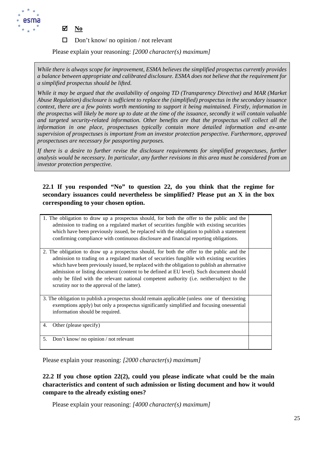

- **No**
- $\Box$  Don't know/ no opinion / not relevant

Please explain your reasoning: *[2000 character(s) maximum]*

*While there is always scope for improvement, ESMA believes the simplified prospectus currently provides a balance between appropriate and calibrated disclosure. ESMA does not believe that the requirement for a simplified prospectus should be lifted.* 

*While it may be argued that the availability of ongoing TD (Transparency Directive) and MAR (Market Abuse Regulation) disclosure is sufficient to replace the (simplified) prospectus in the secondary issuance context, there are a few points worth mentioning to support it being maintained. Firstly, information in the prospectus will likely be more up to date at the time of the issuance, secondly it will contain valuable and targeted security-related information. Other benefits are that the prospectus will collect all the information in one place, prospectuses typically contain more detailed information and ex-ante supervision of prospectuses is important from an investor protection perspective. Furthermore, approved prospectuses are necessary for passporting purposes.*

If there is a desire to further revise the disclosure requirements for simplified prospectuses, further *analysis would be necessary. In particular, any further revisions in this area must be considered from an investor protection perspective.*

# **22.1 If you responded "No" to question 22, do you think that the regime for secondary issuances could nevertheless be simplified? Please put an X in the box corresponding to your chosen option.**

| 1. The obligation to draw up a prospectus should, for both the offer to the public and the<br>admission to trading on a regulated market of securities fungible with existing securities<br>which have been previously issued, be replaced with the obligation to publish a statement<br>confirming compliance with continuous disclosure and financial reporting obligations.                                                                                                                                                   |  |
|----------------------------------------------------------------------------------------------------------------------------------------------------------------------------------------------------------------------------------------------------------------------------------------------------------------------------------------------------------------------------------------------------------------------------------------------------------------------------------------------------------------------------------|--|
| 2. The obligation to draw up a prospectus should, for both the offer to the public and the<br>admission to trading on a regulated market of securities fungible with existing securities<br>which have been previously issued, be replaced with the obligation to publish an alternative<br>admission or listing document (content to be defined at EU level). Such document should<br>only be filed with the relevant national competent authority (i.e. neither subject to the<br>scrutiny nor to the approval of the latter). |  |
| 3. The obligation to publish a prospectus should remain applicable (unless one of the existing<br>exemptions apply) but only a prospectus significantly simplified and focusing onessential<br>information should be required.                                                                                                                                                                                                                                                                                                   |  |
| Other (please specify)<br>4.                                                                                                                                                                                                                                                                                                                                                                                                                                                                                                     |  |
| Don't know/ no opinion / not relevant<br>5.                                                                                                                                                                                                                                                                                                                                                                                                                                                                                      |  |

Please explain your reasoning: *[2000 character(s) maximum]*

**22.2 If you chose option 22(2), could you please indicate what could be the main characteristics and content of such admission or listing document and how it would compare to the already existing ones?**

Please explain your reasoning: *[4000 character(s) maximum]*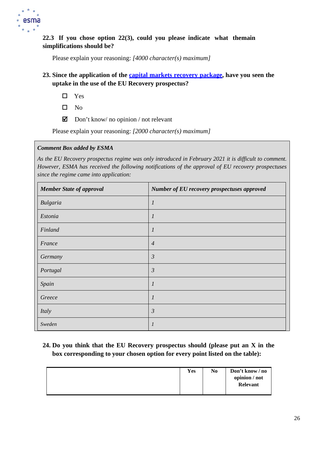

**22.3 If you chose option 22(3), could you please indicate what themain simplifications should be?**

Please explain your reasoning: *[4000 character(s) maximum]*

- **23. Since the application of the capital markets recovery [package,](https://ec.europa.eu/info/publications/200722-proposal-capital-markets-recovery_en) have you seen the uptake in the use of the EU Recovery prospectus?**
	- Yes
	- $\square$  No
	- $\boxtimes$  Don't know/ no opinion / not relevant

Please explain your reasoning: *[2000 character(s) maximum]*

#### *Comment Box added by ESMA*

*As the EU Recovery prospectus regime was only introduced in February 2021 it is difficult to comment. However, ESMA has received the following notifications of the approval of EU recovery prospectuses since the regime came into application:*

| <b>Member State of approval</b> | Number of EU recovery prospectuses approved |
|---------------------------------|---------------------------------------------|
| Bulgaria                        | $\boldsymbol{l}$                            |
| Estonia                         | 1                                           |
| Finland                         | 1                                           |
| France                          | $\overline{4}$                              |
| Germany                         | $\mathfrak{Z}$                              |
| Portugal                        | $\mathfrak{Z}$                              |
| Spain                           | 1                                           |
| Greece                          | 1                                           |
| Italy                           | $\mathfrak{Z}$                              |
| Sweden                          |                                             |

# **24. Do you think that the EU Recovery prospectus should (please put an X in the box corresponding to your chosen option for every point listed on the table):**

|  | <b>Yes</b> | N <sub>0</sub> | Don't know / no<br>opinion / not<br>Relevant |
|--|------------|----------------|----------------------------------------------|
|--|------------|----------------|----------------------------------------------|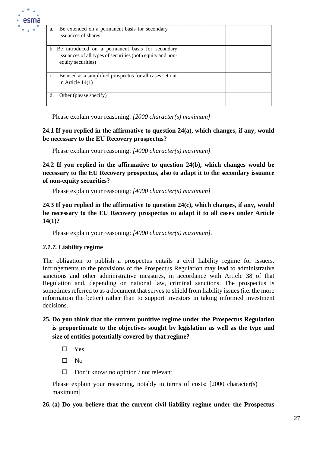

| a. | Be extended on a permanent basis for secondary<br>issuances of shares                                                                   |  |  |
|----|-----------------------------------------------------------------------------------------------------------------------------------------|--|--|
|    | b. Be introduced on a permanent basis for secondary<br>issuances of all types of securities (both equity and non-<br>equity securities) |  |  |
| c. | Be used as a simplified prospectus for all cases set out<br>in Article $14(1)$                                                          |  |  |
| d. | Other (please specify)                                                                                                                  |  |  |

Please explain your reasoning: *[2000 character(s) maximum]*

#### **24.1 If you replied in the affirmative to question 24(a), which changes, if any, would be necessary to the EU Recovery prospectus?**

Please explain your reasoning: *[4000 character(s) maximum]*

**24.2 If you replied in the affirmative to question 24(b), which changes would be necessary to the EU Recovery prospectus, also to adapt it to the secondary issuance of non-equity securities?**

Please explain your reasoning: *[4000 character(s) maximum]*

**24.3 If you replied in the affirmative to question 24(c), which changes, if any, would be necessary to the EU Recovery prospectus to adapt it to all cases under Article 14(1)?**

Please explain your reasoning: *[4000 character(s) maximum].*

#### *2.1.7.* **Liability regime**

The obligation to publish a prospectus entails a civil liability regime for issuers. Infringements to the provisions of the Prospectus Regulation may lead to administrative sanctions and other administrative measures, in accordance with Article 38 of that Regulation and, depending on national law, criminal sanctions. The prospectus is sometimes referred to as a document that serves to shield from liability issues (i.e. the more information the better) rather than to support investors in taking informed investment decisions.

# **25. Do you think that the current punitive regime under the Prospectus Regulation is proportionate to the objectives sought by legislation as well as the type and size of entities potentially covered by that regime?**

□ Yes

 $\square$  No

 $\Box$  Don't know/ no opinion / not relevant

Please explain your reasoning, notably in terms of costs: [2000 character(s) maximum]

#### **26. (a) Do you believe that the current civil liability regime under the Prospectus**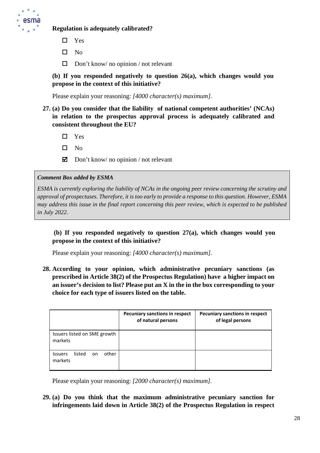

#### **Regulation is adequately calibrated?**

- □ Yes
- $\square$  No
- $\Box$  Don't know/ no opinion / not relevant

**(b) If you responded negatively to question 26(a), which changes would you propose in the context of this initiative?**

Please explain your reasoning: *[4000 character(s) maximum].*

**27. (a) Do you consider that the liability of national competent authorities' (NCAs) in relation to the prospectus approval process is adequately calibrated and consistent throughout the EU?**

□ Yes

- $\square$  No
- $\Box$  Don't know/ no opinion / not relevant

#### *Comment Box added by ESMA*

*ESMA is currently exploring the liability of NCAs in the ongoing peer review concerning the scrutiny and approval of prospectuses. Therefore, it is too early to provide a response to this question. However, ESMA may address this issue in the final report concerning this peer review, which is expected to be published in July 2022.*

**(b) If you responded negatively to question 27(a), which changes would you propose in the context of this initiative?**

Please explain your reasoning: *[4000 character(s) maximum].*

**28. According to your opinion, which administrative pecuniary sanctions (as prescribed in Article 38(2) of the Prospectus Regulation) have a higher impact on an issuer's decision to list? Please put an X in the in the box corresponding to your choice for each type of issuers listed on the table.**

|                                                    | Pecuniary sanctions in respect<br>of natural persons | <b>Pecuniary sanctions in respect</b><br>of legal persons |
|----------------------------------------------------|------------------------------------------------------|-----------------------------------------------------------|
| Issuers listed on SME growth<br>markets            |                                                      |                                                           |
| other<br>listed<br><b>Issuers</b><br>on<br>markets |                                                      |                                                           |

Please explain your reasoning: *[2000 character(s) maximum].*

**29. (a) Do you think that the maximum administrative pecuniary sanction for infringements laid down in Article 38(2) of the Prospectus Regulation in respect**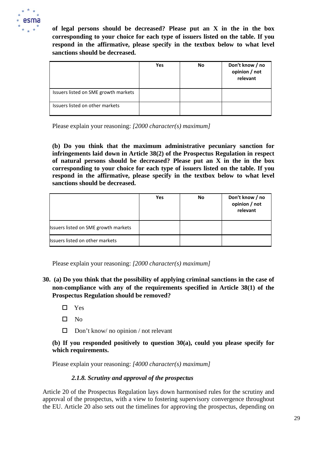

**of legal persons should be decreased? Please put an X in the in the box corresponding to your choice for each type of issuers listed on the table. If you respond in the affirmative, please specify in the textbox below to what level sanctions should be decreased.**

|                                      | Yes | No | Don't know / no<br>opinion / not<br>relevant |
|--------------------------------------|-----|----|----------------------------------------------|
| Issuers listed on SME growth markets |     |    |                                              |
| Issuers listed on other markets      |     |    |                                              |

Please explain your reasoning: *[2000 character(s) maximum]*

**(b) Do you think that the maximum administrative pecuniary sanction for infringements laid down in Article 38(2) of the Prospectus Regulation in respect of natural persons should be decreased? Please put an X in the in the box corresponding to your choice for each type of issuers listed on the table. If you respond in the affirmative, please specify in the textbox below to what level sanctions should be decreased.**

|                                      | Yes | <b>No</b> | Don't know / no<br>opinion / not<br>relevant |
|--------------------------------------|-----|-----------|----------------------------------------------|
| Issuers listed on SME growth markets |     |           |                                              |
| Issuers listed on other markets      |     |           |                                              |

Please explain your reasoning: *[2000 character(s) maximum]*

- **30. (a) Do you think that the possibility of applying criminal sanctions in the case of non-compliance with any of the requirements specified in Article 38(1) of the Prospectus Regulation should be removed?**
	- □ Yes
	- $\square$  No
	- $\Box$  Don't know/ no opinion / not relevant

#### **(b) If you responded positively to question 30(a), could you please specify for which requirements.**

Please explain your reasoning: *[4000 character(s) maximum]*

#### *2.1.8. Scrutiny and approval of the prospectus*

Article 20 of the Prospectus Regulation lays down harmonised rules for the scrutiny and approval of the prospectus, with a view to fostering supervisory convergence throughout the EU. Article 20 also sets out the timelines for approving the prospectus, depending on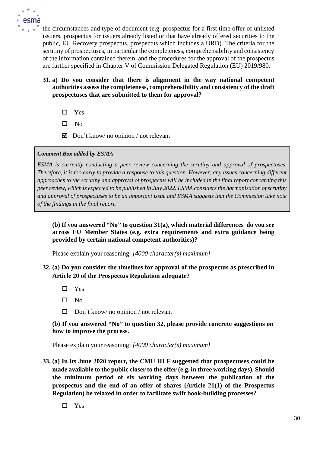

the circumstances and type of document (e.g. prospectus for a first time offer of unlisted issuers, prospectus for issuers already listed or that have already offered securities to the public, EU Recovery prospectus, prospectus which includes a URD). The criteria for the scrutiny of prospectuses, in particular the completeness, comprehensibility and consistency of the information contained therein, and the procedures for the approval of the prospectus are further specified in Chapter V of Commission Delegated Regulation (EU) 2019/980.

- **31. a) Do you consider that there is alignment in the way national competent authorities assess the completeness, comprehensibility and consistency of the draft prospectuses that are submitted to them for approval?**
	- □ Yes
	- $\square$  No
	- $\Box$  Don't know/ no opinion / not relevant

#### *Comment Box added by ESMA*

*ESMA is currently conducting a peer review concerning the scrutiny and approval of prospectuses. Therefore, it is too early to provide a response to this question. However, any issues concerning different approaches to the scrutiny and approval of prospectus will be included in the final report concerning this peer review, which is expected to be published in July 2022. ESMA considers the harmonisation of scrutiny and approval of prospectuses to be an important issue and ESMA suggests that the Commission take note of the findings in the final report.*

#### **(b) If you answered "No" to question 31(a), which material differences do you see across EU Member States (e.g. extra requirements and extra guidance being provided by certain national competent authorities)?**

Please explain your reasoning: *[4000 character(s) maximum]*

## **32. (a) Do you consider the timelines for approval of the prospectus as prescribed in Article 20 of the Prospectus Regulation adequate?**

- Yes
- $\square$  No
- $\Box$  Don't know/ no opinion / not relevant

**(b) If you answered "No" to question 32, please provide concrete suggestions on how to improve the process.**

Please explain your reasoning: *[4000 character(s) maximum]*

- **33. (a) In its June 2020 report, the CMU HLF suggested that prospectuses could be made available to the public closer to the offer (e.g. in three working days). Should the minimum period of six working days between the publication of the prospectus and the end of an offer of shares (Article 21(1) of the Prospectus Regulation) be relaxed in order to facilitate swift book-building processes?**
	- □ Yes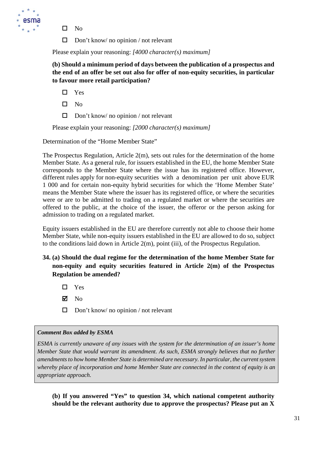

- $\square$  No
- $\Box$  Don't know/ no opinion / not relevant

Please explain your reasoning: *[4000 character(s) maximum]*

**(b) Should a minimum period of days between the publication of a prospectus and the end of an offer be set out also for offer of non-equity securities, in particular to favour more retail participation?**

- □ Yes
- $\square$  No
- $\Box$  Don't know/ no opinion / not relevant

Please explain your reasoning: *[2000 character(s) maximum]*

Determination of the "Home Member State"

The Prospectus Regulation, Article 2(m), sets out rules for the determination of the home Member State. As a general rule, for issuers established in the EU, the home Member State corresponds to the Member State where the issue has its registered office. However, different rules apply for non-equity securities with a denomination per unit above EUR 1 000 and for certain non-equity hybrid securities for which the 'Home Member State' means the Member State where the issuer has its registered office, or where the securities were or are to be admitted to trading on a regulated market or where the securities are offered to the public, at the choice of the issuer, the offeror or the person asking for admission to trading on a regulated market.

Equity issuers established in the EU are therefore currently not able to choose their home Member State, while non-equity issuers established in the EU are allowed to do so, subject to the conditions laid down in Article 2(m), point (iii), of the Prospectus Regulation.

**34. (a) Should the dual regime for the determination of the home Member State for non-equity and equity securities featured in Article 2(m) of the Prospectus Regulation be amended?**

 $\Box$  Yes

- $\nabla$  No
- $\Box$  Don't know/ no opinion / not relevant

#### *Comment Box added by ESMA*

*ESMA is currently unaware of any issues with the system for the determination of an issuer's home Member State that would warrant its amendment. As such, ESMA strongly believes that no further amendments to how home Member State is determined are necessary. In particular, the current system whereby place of incorporation and home Member State are connected in the context of equity is an appropriate approach.*

**(b) If you answered "Yes" to question 34, which national competent authority should be the relevant authority due to approve the prospectus? Please put an X**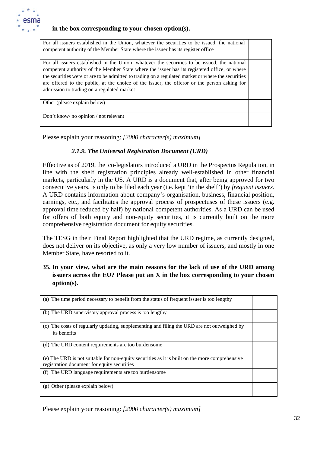

#### **in the box corresponding to your chosen option(s).**

| For all issuers established in the Union, whatever the securities to be issued, the national<br>competent authority of the Member State where the issuer has its register office                                                                                                                                                                                                                                                                 |  |
|--------------------------------------------------------------------------------------------------------------------------------------------------------------------------------------------------------------------------------------------------------------------------------------------------------------------------------------------------------------------------------------------------------------------------------------------------|--|
| For all issuers established in the Union, whatever the securities to be issued, the national<br>competent authority of the Member State where the issuer has its registered office, or where<br>the securities were or are to be admitted to trading on a regulated market or where the securities<br>are offered to the public, at the choice of the issuer, the offeror or the person asking for<br>admission to trading on a regulated market |  |
| Other (please explain below)                                                                                                                                                                                                                                                                                                                                                                                                                     |  |
| Don't know/ no opinion / not relevant                                                                                                                                                                                                                                                                                                                                                                                                            |  |

Please explain your reasoning: *[2000 character(s) maximum]*

#### *2.1.9. The Universal Registration Document (URD)*

Effective as of 2019, the co-legislators introduced a URD in the Prospectus Regulation, in line with the shelf registration principles already well-established in other financial markets, particularly in the US. A URD is a document that, after being approved for two consecutive years, is only to be filed each year (i.e. kept 'in the shelf') by *frequent issuers.*  A URD contains information about company's organisation, business, financial position, earnings, etc., and facilitates the approval process of prospectuses of these issuers (e.g. approval time reduced by half) by national competent authorities. As a URD can be used for offers of both equity and non-equity securities, it is currently built on the more comprehensive registration document for equity securities.

The TESG in their Final Report highlighted that the URD regime, as currently designed, does not deliver on its objective, as only a very low number of issuers, and mostly in one Member State, have resorted to it.

## **35. In your view, what are the main reasons for the lack of use of the URD among issuers across the EU? Please put an X in the box corresponding to your chosen option(s).**

| (a) The time period necessary to benefit from the status of frequent issuer is too lengthy                                                    |  |
|-----------------------------------------------------------------------------------------------------------------------------------------------|--|
| (b) The URD supervisory approval process is too lengthy                                                                                       |  |
| The costs of regularly updating, supplementing and filing the URD are not outweighed by<br>(c)<br>its benefits                                |  |
| (d) The URD content requirements are too burdensome                                                                                           |  |
| (e) The URD is not suitable for non-equity securities as it is built on the more comprehensive<br>registration document for equity securities |  |
| (f) The URD language requirements are too burdensome                                                                                          |  |
| $(g)$ Other (please explain below)                                                                                                            |  |

Please explain your reasoning: *[2000 character(s) maximum]*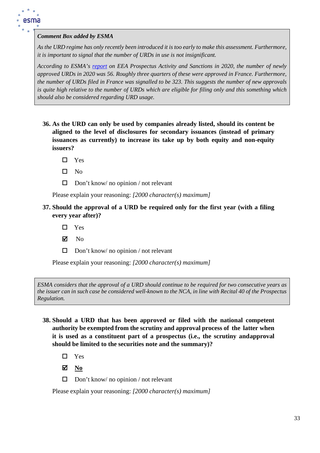

#### *Comment Box added by ESMA*

*As the URD regime has only recently been introduced it is too early to make this assessment. Furthermore, it is important to signal that the number of URDs in use is not insignificant.*

*According to ESMA's [report](https://www.esma.europa.eu/sites/default/files/library/esma32-382-1153_prospectus_activity_and_sanctions_report_2020.pdf) on EEA Prospectus Activity and Sanctions in 2020, the number of newly approved URDs in 2020 was 56. Roughly three quarters of these were approved in France. Furthermore, the number of URDs filed in France was signalled to be 323. This suggests the number of new approvals is quite high relative to the number of URDs which are eligible for filing only and this something which should also be considered regarding URD usage.*

- **36. As the URD can only be used by companies already listed, should its content be aligned to the level of disclosures for secondary issuances (instead of primary issuances as currently) to increase its take up by both equity and non-equity issuers?**
	- □ Yes
	- $\square$  No
	- $\Box$  Don't know/ no opinion / not relevant

Please explain your reasoning: *[2000 character(s) maximum]*

- **37. Should the approval of a URD be required only for the first year (with a filing every year after)?**
	- □ Yes
	- $\nabla$  No
	- $\Box$  Don't know/ no opinion / not relevant

Please explain your reasoning: *[2000 character(s) maximum]*

*ESMA considers that the approval of a URD should continue to be required for two consecutive years as the issuer can in such case be considered well-known to the NCA, in line with Recital 40 of the Prospectus Regulation.*

- **38. Should a URD that has been approved or filed with the national competent authority be exempted from the scrutiny and approval process of the latter when it is used as a constituent part of a prospectus (i.e., the scrutiny andapproval should be limited to the securities note and the summary)?**
	- □ Yes

**No**

 $\Box$  Don't know/ no opinion / not relevant

Please explain your reasoning: *[2000 character(s) maximum]*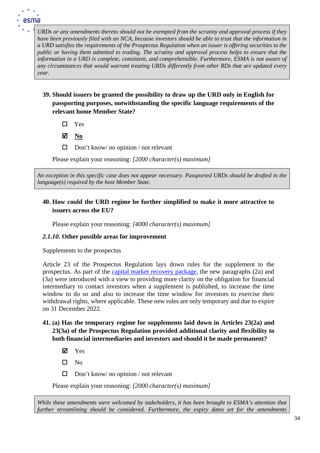

*URDs or any amendments thereto should not be exempted from the scrutiny and approval process if they have been previously filed with an NCA, because investors should be able to trust that the information in a URD satisfies the requirements of the Prospectus Regulation when an issuer is offering securities to the public or having them admitted to trading. The scrutiny and approval process helps to ensure that the information in a URD is complete, consistent, and comprehensible. Furthermore, ESMA is not aware of any circumstances that would warrant treating URDs differently from other RDs that are updated every year.*

- **39. Should issuers be granted the possibility to draw up the URD only in English for passporting purposes, notwithstanding the specific language requirements of the relevant home Member State?**
	- $\square$  Yes
	- **No**
	- $\Box$  Don't know/ no opinion / not relevant

Please explain your reasoning: *[2000 character(s) maximum]*

*An exception in this specific case does not appear necessary. Passported URDs should be drafted in the language(s) required by the host Member State.*

# **40. How could the URD regime be further simplified to make it more attractive to issuers across the EU?**

Please explain your reasoning: *[4000 character(s) maximum]*

#### *2.1.10.* **Other possible areas for improvement**

#### Supplements to the prospectus

Article 23 of the Prospectus Regulation lays down rules for the supplement to the prospectus. As part of the [capital market recovery package, t](https://ec.europa.eu/info/publications/200722-proposal-capital-markets-recovery_en)he new paragraphs (2a) and (3a) were introduced with a view to providing more clarity on the obligation for financial intermediary to contact investors when a supplement is published, to increase the time window to do so and also to increase the time window for investors to exercise their withdrawal rights, where applicable. These new rules are only temporary and due to expire on 31 December 2022.

# **41. (a) Has the temporary regime for supplements laid down in Articles 23(2a) and 23(3a) of the Prospectus Regulation provided additional clarity and flexibility to both financial intermediaries and investors and should it be made permanent?**

- Yes
- $\square$  No
- $\Box$  Don't know/ no opinion / not relevant

Please explain your reasoning: *[2000 character(s) maximum]*

*While these amendments were welcomed by stakeholders, it has been brought to ESMA's attention that further streamlining should be considered. Furthermore, the expiry dates set for the amendments*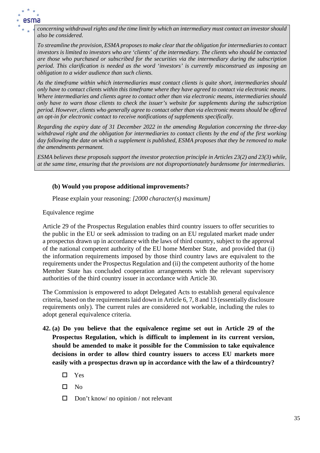

*concerning withdrawal rights and the time limit by which an intermediary must contact an investor should also be considered.* 

*To streamline the provision, ESMA proposes to make clear that the obligation for intermediaries to contact investors is limited to investors who are 'clients' of the intermediary. The clients who should be contacted are those who purchased or subscribed for the securities via the intermediary during the subscription period. This clarification is needed as the word 'investors' is currently misconstrued as imposing an obligation to a wider audience than such clients.* 

*As the timeframe within which intermediaries must contact clients is quite short, intermediaries should only have to contact clients within this timeframe where they have agreed to contact via electronic means. Where intermediaries and clients agree to contact other than via electronic means, intermediaries should only have to warn those clients to check the issuer's website for supplements during the subscription period. However, clients who generally agree to contact other than via electronic means should be offered an opt-in for electronic contact to receive notifications of supplements specifically.* 

*Regarding the expiry date of 31 December 2022 in the amending Regulation concerning the three-day withdrawal right and the obligation for intermediaries to contact clients by the end of the first working day following the date on which a supplement is published, ESMA proposes that they be removed to make the amendments permanent.* 

*ESMA believes these proposals support the investor protection principle in Articles 23(2) and 23(3) while, at the same time, ensuring that the provisions are not disproportionately burdensome for intermediaries.*

#### **(b) Would you propose additional improvements?**

Please explain your reasoning: *[2000 character(s) maximum]*

Equivalence regime

Article 29 of the Prospectus Regulation enables third country issuers to offer securities to the public in the EU or seek admission to trading on an EU regulated market made under a prospectus drawn up in accordance with the laws of third country, subject to the approval of the national competent authority of the EU home Member State, and provided that (i) the information requirements imposed by those third country laws are equivalent to the requirements under the Prospectus Regulation and (ii) the competent authority of the home Member State has concluded cooperation arrangements with the relevant supervisory authorities of the third country issuer in accordance with Article 30.

The Commission is empowered to adopt Delegated Acts to establish general equivalence criteria, based on the requirements laid down in Article 6, 7, 8 and 13 (essentially disclosure requirements only). The current rules are considered not workable, including the rules to adopt general equivalence criteria.

- **42. (a) Do you believe that the equivalence regime set out in Article 29 of the Prospectus Regulation, which is difficult to implement in its current version, should be amended to make it possible for the Commission to take equivalence decisions in order to allow third country issuers to access EU markets more easily with a prospectus drawn up in accordance with the law of a thirdcountry?**
	- □ Yes
	- $\Pi$  No
	- $\Box$  Don't know/ no opinion / not relevant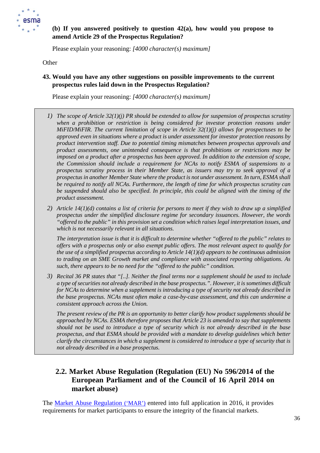

# **(b) If you answered positively to question 42(a), how would you propose to amend Article 29 of the Prospectus Regulation?**

Please explain your reasoning: *[4000 character(s) maximum]*

**Other** 

### **43. Would you have any other suggestions on possible improvements to the current prospectus rules laid down in the Prospectus Regulation?**

Please explain your reasoning: *[4000 character(s) maximum]*

- *1) The scope of Article 32(1)(j) PR should be extended to allow for suspension of prospectus scrutiny when a prohibition or restriction is being considered for investor protection reasons under MiFID/MiFIR. The current limitation of scope in Article 32(1)(j) allows for prospectuses to be approved even in situations where a product is under assessment for investor protection reasons by product intervention staff. Due to potential timing mismatches between prospectus approvals and product assessments, one unintended consequence is that prohibitions or restrictions may be imposed on a product after a prospectus has been approved. In addition to the extension of scope, the Commission should include a requirement for NCAs to notify ESMA of suspensions to a prospectus scrutiny process in their Member State, as issuers may try to seek approval of a prospectus in another Member State where the product is not under assessment. In turn, ESMA shall be required to notify all NCAs. Furthermore, the length of time for which prospectus scrutiny can be suspended should also be specified. In principle, this could be aligned with the timing of the product assessment.*
- *2) Article 14(1)(d) contains a list of criteria for persons to meet if they wish to draw up a simplified prospectus under the simplified disclosure regime for secondary issuances. However, the words "offered to the public" in this provision set a condition which raises legal interpretation issues, and which is not necessarily relevant in all situations.*

*The interpretation issue is that it is difficult to determine whether "offered to the public" relates to offers with a prospectus only or also exempt public offers. The most relevant aspect to qualify for the use of a simplified prospectus according to Article 14(1)(d) appears to be continuous admission to trading on an SME Growth market and compliance with associated reporting obligations. As such, there appears to be no need for the "offered to the public" condition.*

*3) Recital 36 PR states that "[..]. Neither the final terms nor a supplement should be used to include a type of securities not already described in the base prospectus.". However, it is sometimes difficult for NCAs to determine when a supplement is introducing a type of security not already described in the base prospectus. NCAs must often make a case-by-case assessment, and this can undermine a consistent approach across the Union.* 

*The present review of the PR is an opportunity to better clarify how product supplements should be approached by NCAs. ESMA therefore proposes that Article 23 is amended to say that supplements should not be used to introduce a type of security which is not already described in the base prospectus, and that ESMA should be provided with a mandate to develop guidelines which better clarify the circumstances in which a supplement is considered to introduce a type of security that is not already described in a base prospectus.*

# **2.2. Market Abuse Regulation (Regulation (EU) No 596/2014 of the European Parliament and of the Council of 16 April 2014 on market abuse)**

The Market Abuse [Regulation](https://eur-lex.europa.eu/legal-content/EN/TXT/?uri=CELEX%3A32014R0596) ('MAR') [e](https://eur-lex.europa.eu/legal-content/EN/TXT/?uri=CELEX%3A32014R0596)ntered into full application in 2016, it provides requirements for market participants to ensure the integrity of the financial markets.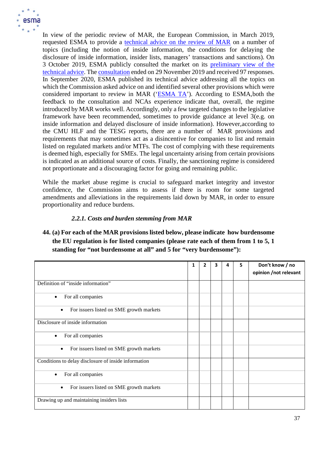

In view of the periodic review of MAR, the European Commission, in March 2019, requested ESMA to provide a [technical advice on the review of MAR](https://www.esma.europa.eu/sites/default/files/library/esma_art_38_mar_mandate.pdf) on a number of topics (including the notion of inside information, the conditions for delaying the disclosure of inside information, insider lists, managers' transactions and sanctions). On 3 October 2019, ESMA publicly consulted the market on its [preliminary view of the](https://www.esma.europa.eu/sites/default/files/library/mar_review_-_cp.pdf) [technical](https://www.esma.europa.eu/sites/default/files/library/mar_review_-_cp.pdf) advice. The [consultation](https://www.esma.europa.eu/press-news/consultations/consultation-mar-review) ended on 29 November 2019 and received 97 responses. In September 2020, ESMA published its technical advice addressing all the topics on which the Commission asked advice on and identified several other provisions which were considered important to review in MAR (['ESMA TA'](https://www.esma.europa.eu/sites/default/files/library/esma70-156-2391_final_report_-_mar_review.pdf)). According to ESMA, both the feedback to the consultation and NCAs experience indicate that, overall, the regime introduced by MAR works well. Accordingly, only a few targeted changes to the legislative framework have been recommended, sometimes to provide guidance at level 3(e.g. on inside information and delayed disclosure of inside information). However,according to the CMU HLF and the TESG reports, there are a number of MAR provisions and requirements that may sometimes act as a disincentive for companies to list and remain listed on regulated markets and/or MTFs. The cost of complying with these requirements is deemed high, especially for SMEs. The legal uncertainty arising from certain provisions is indicated as an additional source of costs. Finally, the sanctioning regime is considered not proportionate and a discouraging factor for going and remaining public.

While the market abuse regime is crucial to safeguard market integrity and investor confidence, the Commission aims to assess if there is room for some targeted amendments and alleviations in the requirements laid down by MAR, in order to ensure proportionality and reduce burdens.

## *2.2.1. Costs and burden stemming from MAR*

**44. (a) For each of the MAR provisions listed below, please indicate how burdensome the EU regulation is for listed companies (please rate each of them from 1 to 5, 1 standing for "not burdensome at all" and 5 for "very burdensome"):**

|                                                       | 1 |  | Δ | 5 | Don't know / no<br>opinion /not relevant |
|-------------------------------------------------------|---|--|---|---|------------------------------------------|
| Definition of "inside information"                    |   |  |   |   |                                          |
| For all companies<br>٠                                |   |  |   |   |                                          |
| For issuers listed on SME growth markets              |   |  |   |   |                                          |
| Disclosure of inside information                      |   |  |   |   |                                          |
| For all companies<br>٠                                |   |  |   |   |                                          |
| For issuers listed on SME growth markets<br>$\bullet$ |   |  |   |   |                                          |
| Conditions to delay disclosure of inside information  |   |  |   |   |                                          |
| For all companies<br>٠                                |   |  |   |   |                                          |
| For issuers listed on SME growth markets<br>$\bullet$ |   |  |   |   |                                          |
| Drawing up and maintaining insiders lists             |   |  |   |   |                                          |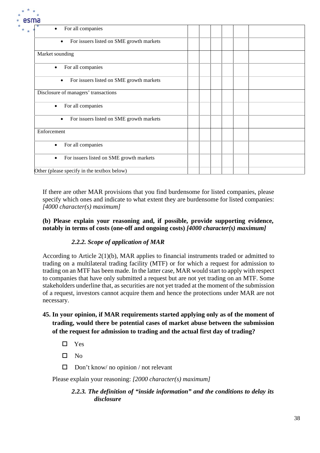| ша                                                    |  |  |  |
|-------------------------------------------------------|--|--|--|
| For all companies<br>٠                                |  |  |  |
| For issuers listed on SME growth markets<br>$\bullet$ |  |  |  |
| Market sounding                                       |  |  |  |
| For all companies<br>$\bullet$                        |  |  |  |
| For issuers listed on SME growth markets<br>$\bullet$ |  |  |  |
| Disclosure of managers' transactions                  |  |  |  |
| For all companies<br>$\bullet$                        |  |  |  |
| For issuers listed on SME growth markets<br>$\bullet$ |  |  |  |
| Enforcement                                           |  |  |  |
| For all companies<br>$\bullet$                        |  |  |  |
| For issuers listed on SME growth markets<br>$\bullet$ |  |  |  |
| Other (please specify in the textbox below)           |  |  |  |

If there are other MAR provisions that you find burdensome for listed companies, please specify which ones and indicate to what extent they are burdensome for listed companies: *[4000 character(s) maximum]*

## **(b) Please explain your reasoning and, if possible, provide supporting evidence, notably in terms of costs (one-off and ongoing costs)** *[4000 character(s) maximum]*

# *2.2.2. Scope of application of MAR*

According to Article 2(1)(b), MAR applies to financial instruments traded or admitted to trading on a multilateral trading facility (MTF) or for which a request for admission to trading on an MTF has been made. In the latter case, MAR would start to apply with respect to companies that have only submitted a request but are not yet trading on an MTF. Some stakeholders underline that, as securities are not yet traded at the moment of the submission of a request, investors cannot acquire them and hence the protections under MAR are not necessary.

# **45. In your opinion, if MAR requirements started applying only as of the moment of trading, would there be potential cases of market abuse between the submission of the request for admission to trading and the actual first day of trading?**

- □ Yes
- $\Box$  No
- $\Box$  Don't know/ no opinion / not relevant

Please explain your reasoning: *[2000 character(s) maximum]*

## *2.2.3. The definition of "inside information" and the conditions to delay its disclosure*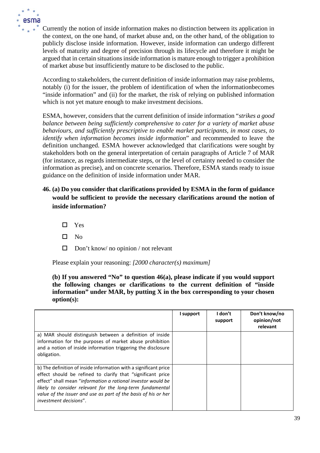

Currently the notion of inside information makes no distinction between its application in the context, on the one hand, of market abuse and, on the other hand, of the obligation to publicly disclose inside information. However, inside information can undergo different levels of maturity and degree of precision through its lifecycle and therefore it might be argued that in certain situations inside information is mature enough to trigger a prohibition of market abuse but insufficiently mature to be disclosed to the public.

According to stakeholders, the current definition of inside information may raise problems, notably (i) for the issuer, the problem of identification of when the informationbecomes "inside information" and (ii) for the market, the risk of relying on published information which is not yet mature enough to make investment decisions.

ESMA, however, considers that the current definition of inside information "*strikes a good balance between being sufficiently comprehensive to cater for a variety of market abuse behaviours, and sufficiently prescriptive to enable market participants, in most cases, to identify when information becomes inside information*" and recommended to leave the definition unchanged. ESMA however acknowledged that clarifications were sought by stakeholders both on the general interpretation of certain paragraphs of Article 7 of MAR (for instance, as regards intermediate steps, or the level of certainty needed to consider the information as precise), and on concrete scenarios. Therefore, ESMA stands ready to issue guidance on the definition of inside information under MAR.

- **46. (a) Do you consider that clarifications provided by ESMA in the form of guidance would be sufficient to provide the necessary clarifications around the notion of inside information?**
	- □ Yes
	- $\square$  No
	- $\Box$  Don't know/ no opinion / not relevant

Please explain your reasoning: *[2000 character(s) maximum]*

### **(b) If you answered "No" to question 46(a), please indicate if you would support the following changes or clarifications to the current definition of "inside information" under MAR, by putting X in the box corresponding to your chosen option(s):**

|                                                                                                                                                                                                                                                                                                                                                                 | I support | I don't<br>support | Don't know/no<br>opinion/not<br>relevant |
|-----------------------------------------------------------------------------------------------------------------------------------------------------------------------------------------------------------------------------------------------------------------------------------------------------------------------------------------------------------------|-----------|--------------------|------------------------------------------|
| a) MAR should distinguish between a definition of inside<br>information for the purposes of market abuse prohibition<br>and a notion of inside information triggering the disclosure<br>obligation.                                                                                                                                                             |           |                    |                                          |
| b) The definition of inside information with a significant price<br>effect should be refined to clarify that "significant price<br>effect" shall mean "information a rational investor would be<br>likely to consider relevant for the long-term fundamental<br>value of the issuer and use as part of the basis of his or her<br><i>investment decisions".</i> |           |                    |                                          |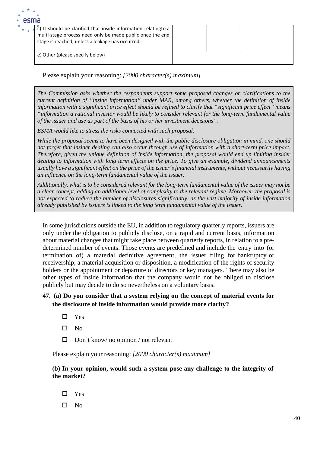| esilid |                                                                                                                                                                                            |  |  |
|--------|--------------------------------------------------------------------------------------------------------------------------------------------------------------------------------------------|--|--|
|        | $\tilde{c}$ ) It should be clarified that inside information relatingto a<br>multi-stage process need only be made public once the end<br>stage is reached, unless a leakage has occurred. |  |  |
|        | e) Other (please specify below)                                                                                                                                                            |  |  |

*The Commission asks whether the respondents support some proposed changes or clarifications to the current definition of "inside information" under MAR, among others, whether the definition of inside information with a significant price effect should be refined to clarify that "significant price effect" means "information a rational investor would be likely to consider relevant for the long-term fundamental value of the issuer and use as part of the basis of his or her investment decisions".*

*ESMA would like to stress the risks connected with such proposal.* 

*While the proposal seems to have been designed with the public disclosure obligation in mind, one should not forget that insider dealing can also occur through use of information with a short-term price impact. Therefore, given the unique definition of inside information, the proposal would end up limiting insider dealing to information with long term effects on the price. To give an example, dividend announcements usually have a significant effect on the price of the issuer´s financial instruments, without necessarily having an influence on the long-term fundamental value of the issuer.*

*Additionally, what is to be considered relevant for the long-term fundamental value of the issuer may not be a clear concept, adding an additional level of complexity to the relevant regime. Moreover, the proposal is not expected to reduce the number of disclosures significantly, as the vast majority of inside information already published by issuers is linked to the long term fundamental value of the issuer.*

In some jurisdictions outside the EU, in addition to regulatory quarterly reports, issuers are only under the obligation to publicly disclose, on a rapid and current basis, information about material changes that might take place between quarterly reports, in relation to a predetermined number of events. Those events are predefined and include the entry into (or termination of) a material definitive agreement, the issuer filing for bankruptcy or receivership, a material acquisition or disposition, a modification of the rights of security holders or the appointment or departure of directors or key managers. There may also be other types of inside information that the company would not be obliged to disclose publicly but may decide to do so nevertheless on a voluntary basis.

## **47. (a) Do you consider that a system relying on the concept of material events for the disclosure of inside information would provide more clarity?**

- □ Yes
- $\square$  No
- $\Box$  Don't know/ no opinion / not relevant

Please explain your reasoning: *[2000 character(s) maximum]*

### **(b) In your opinion, would such a system pose any challenge to the integrity of the market?**

- Yes
- $\Box$  No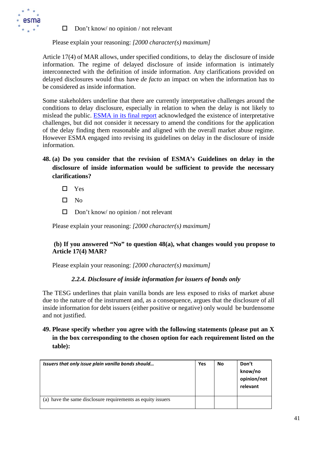

 $\Box$  Don't know/ no opinion / not relevant

Please explain your reasoning: *[2000 character(s) maximum]*

Article 17(4) of MAR allows, under specified conditions, to delay the disclosure of inside information. The regime of delayed disclosure of inside information is intimately interconnected with the definition of inside information. Any clarifications provided on delayed disclosures would thus have *de facto* an impact on when the information has to be considered as inside information.

Some stakeholders underline that there are currently interpretative challenges around the conditions to delay disclosure, especially in relation to when the delay is not likely to mislead the public. [ESMA in its final report](https://www.esma.europa.eu/sites/default/files/library/esma70-156-2391_final_report_-_mar_review.pdf) acknowledged the existence of interpretative challenges, but did not consider it necessary to amend the conditions for the application of the delay finding them reasonable and aligned with the overall market abuse regime. However ESMA engaged into revising its guidelines on delay in the disclosure of inside information.

- **48. (a) Do you consider that the revision of ESMA's Guidelines on delay in the disclosure of inside information would be sufficient to provide the necessary clarifications?**
	- □ Yes
	- $\square$  No
	- $\Box$  Don't know/ no opinion / not relevant

Please explain your reasoning: *[2000 character(s) maximum]*

### **(b) If you answered "No" to question 48(a), what changes would you propose to Article 17(4) MAR?**

Please explain your reasoning: *[2000 character(s) maximum]*

### *2.2.4. Disclosure of inside information for issuers of bonds only*

The TESG underlines that plain vanilla bonds are less exposed to risks of market abuse due to the nature of the instrument and, as a consequence, argues that the disclosure of all inside information for debt issuers (either positive or negative) only would be burdensome and not justified.

**49. Please specify whether you agree with the following statements (please put an X in the box corresponding to the chosen option for each requirement listed on the table):**

| Issuers that only issue plain vanilla bonds should          | Yes | No | Don't<br>know/no<br>opinion/not<br>relevant |
|-------------------------------------------------------------|-----|----|---------------------------------------------|
| (a) have the same disclosure requirements as equity issuers |     |    |                                             |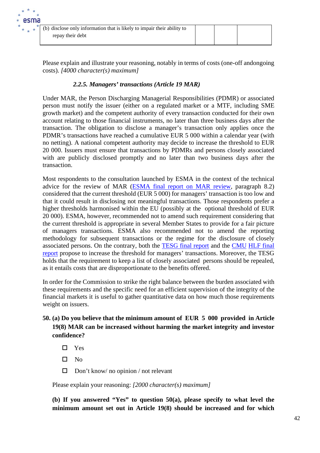Please explain and illustrate your reasoning, notably in terms of costs (one-off andongoing costs). *[4000 character(s) maximum]*

# *2.2.5. Managers' transactions (Article 19 MAR)*

Under MAR, the Person Discharging Managerial Responsibilities (PDMR) or associated person must notify the issuer (either on a regulated market or a MTF, including SME growth market) and the competent authority of every transaction conducted for their own account relating to those financial instruments, no later than three business days after the transaction. The obligation to disclose a manager's transaction only applies once the PDMR's transactions have reached a cumulative EUR 5 000 within a calendar year (with no netting). A national competent authority may decide to increase the threshold to EUR 20 000. Issuers must ensure that transactions by PDMRs and persons closely associated with are publicly disclosed promptly and no later than two business days after the transaction.

Most respondents to the consultation launched by ESMA in the context of the technical advice for the review of MAR [\(ESMA final report on MAR review,](https://www.esma.europa.eu/file/57223/download?token=2oH4D8j-) paragraph 8.2) considered that the current threshold (EUR 5 000) for managers' transaction is too low and that it could result in disclosing not meaningful transactions. Those respondents prefer a higher thresholds harmonised within the EU (possibly at the optional threshold of EUR 20 000). ESMA, however, recommended not to amend such requirement considering that the current threshold is appropriate in several Member States to provide for a fair picture of managers transactions. ESMA also recommended not to amend the reporting methodology for subsequent transactions or the regime for the disclosure of closely associated persons. On the contrary, both the [TESG final report](https://ec.europa.eu/info/files/210525-report-tesg-cmu-smes_en) and the [CMU](https://ec.europa.eu/info/publications/cmu-high-level-forum_en#200610) [HLF final](https://ec.europa.eu/info/publications/cmu-high-level-forum_en#200610)  [report](https://ec.europa.eu/info/publications/cmu-high-level-forum_en#200610) propose to increase the threshold for managers' transactions. Moreover, the TESG holds that the requirement to keep a list of closely associated persons should be repealed, as it entails costs that are disproportionate to the benefits offered.

In order for the Commission to strike the right balance between the burden associated with these requirements and the specific need for an efficient supervision of the integrity of the financial markets it is useful to gather quantitative data on how much those requirements weight on issuers.

# **50. (a) Do you believe that the minimum amount of EUR 5 000 provided in Article 19(8) MAR can be increased without harming the market integrity and investor confidence?**

□ Yes

 $\square$  No

 $\Box$  Don't know/ no opinion / not relevant

Please explain your reasoning: *[2000 character(s) maximum]*

**(b) If you answered "Yes" to question 50(a), please specify to what level the minimum amount set out in Article 19(8) should be increased and for which**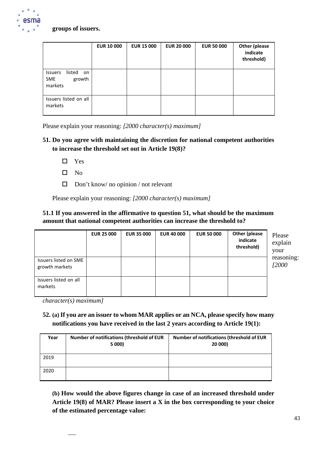

### **groups of issuers.**

|                                                            | <b>EUR 10 000</b> | <b>EUR 15 000</b> | <b>EUR 20 000</b> | <b>EUR 50 000</b> | <b>Other (please</b><br>indicate<br>threshold) |
|------------------------------------------------------------|-------------------|-------------------|-------------------|-------------------|------------------------------------------------|
| listed<br>Issuers<br>on<br><b>SME</b><br>growth<br>markets |                   |                   |                   |                   |                                                |
| Issuers listed on all<br>markets                           |                   |                   |                   |                   |                                                |

Please explain your reasoning: *[2000 character(s) maximum]*

## **51. Do you agree with maintaining the discretion for national competent authorities to increase the threshold set out in Article 19(8)?**

- □ Yes
- $\square$  No
- $\Box$  Don't know/ no opinion / not relevant

Please explain your reasoning: *[2000 character(s) maximum]*

## **51.1 If you answered in the affirmative to question 51, what should be the maximum amount that national competent authorities can increase the threshold to?**

|                                         | <b>EUR 25 000</b> | <b>EUR 35 000</b> | <b>EUR 40 000</b> | <b>EUR 50 000</b> | Other (please<br>indicate<br>threshold) | Please<br>explain<br>your |
|-----------------------------------------|-------------------|-------------------|-------------------|-------------------|-----------------------------------------|---------------------------|
| Issuers listed on SME<br>growth markets |                   |                   |                   |                   |                                         | reasoning:<br>12000       |
| Issuers listed on all<br>markets        |                   |                   |                   |                   |                                         |                           |

*character(s) maximum]*

# **52. (a) If you are an issuer to whom MAR applies or an NCA, please specify how many notifications you have received in the last 2 years according to Article 19(1):**

| Year | Number of notifications (threshold of EUR<br>5 000) | <b>Number of notifications (threshold of EUR</b><br>20 000) |
|------|-----------------------------------------------------|-------------------------------------------------------------|
| 2019 |                                                     |                                                             |
| 2020 |                                                     |                                                             |

**(b) How would the above figures change in case of an increased threshold under Article 19(8) of MAR? Please insert a X in the box corresponding to your choice of the estimated percentage value:**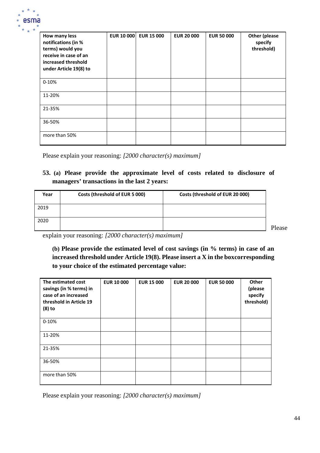

| How many less<br>notifications (in %<br>terms) would you<br>receive in case of an<br>increased threshold<br>under Article 19(8) to | <b>EUR 10 000</b> | <b>EUR 15 000</b> | <b>EUR 20 000</b> | <b>EUR 50 000</b> | <b>Other (please</b><br>specify<br>threshold) |
|------------------------------------------------------------------------------------------------------------------------------------|-------------------|-------------------|-------------------|-------------------|-----------------------------------------------|
| $0 - 10%$                                                                                                                          |                   |                   |                   |                   |                                               |
| 11-20%                                                                                                                             |                   |                   |                   |                   |                                               |
| 21-35%                                                                                                                             |                   |                   |                   |                   |                                               |
| 36-50%                                                                                                                             |                   |                   |                   |                   |                                               |
| more than 50%                                                                                                                      |                   |                   |                   |                   |                                               |

## **53. (a) Please provide the approximate level of costs related to disclosure of managers' transactions in the last 2 years:**

| Year | Costs (threshold of EUR 5 000) | Costs (threshold of EUR 20 000) |
|------|--------------------------------|---------------------------------|
| 2019 |                                |                                 |
| 2020 |                                |                                 |

Please

explain your reasoning: *[2000 character(s) maximum]*

**(b) Please provide the estimated level of cost savings (in % terms) in case of an increased threshold under Article 19(8). Please insert a X in the boxcorresponding to your choice of the estimated percentage value:**

| The estimated cost<br>savings (in % terms) in<br>case of an increased<br>threshold in Article 19<br>$(8)$ to | <b>EUR 10 000</b> | <b>EUR 15 000</b> | <b>EUR 20 000</b> | <b>EUR 50 000</b> | Other<br>(please<br>specify<br>threshold) |
|--------------------------------------------------------------------------------------------------------------|-------------------|-------------------|-------------------|-------------------|-------------------------------------------|
| $0 - 10%$                                                                                                    |                   |                   |                   |                   |                                           |
| 11-20%                                                                                                       |                   |                   |                   |                   |                                           |
| 21-35%                                                                                                       |                   |                   |                   |                   |                                           |
| 36-50%                                                                                                       |                   |                   |                   |                   |                                           |
| more than 50%                                                                                                |                   |                   |                   |                   |                                           |

Please explain your reasoning: *[2000 character(s) maximum]*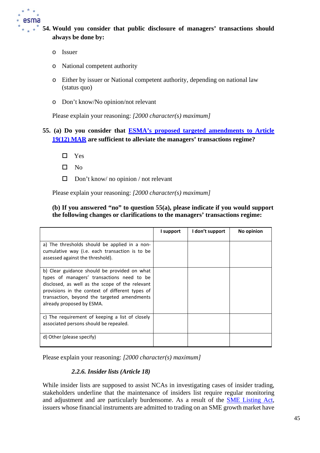

# **54. Would you consider that public disclosure of managers' transactions should always be done by:**

- o Issuer
- o National competent authority
- o Either by issuer or National competent authority, depending on national law (status quo)
- o Don't know/No opinion/not relevant

Please explain your reasoning: *[2000 character(s) maximum]*

# **55. (a) Do you consider that ESMA's proposed targeted [amendments](https://www.esma.europa.eu/sites/default/files/library/esma70-156-2391_final_report_-_mar_review.pdf) to Article [19\(12\)](https://www.esma.europa.eu/sites/default/files/library/esma70-156-2391_final_report_-_mar_review.pdf) MAR are sufficient to alleviate the managers' transactions regime?**

- □ Yes
- $\square$  No
- $\Box$  Don't know/ no opinion / not relevant

Please explain your reasoning: *[2000 character(s) maximum]*

### **(b) If you answered "no" to question 55(a), please indicate if you would support the following changes or clarifications to the managers' transactions regime:**

|                                                                                                                                                                                                                                                                              | I support | I don't support | No opinion |
|------------------------------------------------------------------------------------------------------------------------------------------------------------------------------------------------------------------------------------------------------------------------------|-----------|-----------------|------------|
| a) The thresholds should be applied in a non-<br>cumulative way (i.e. each transaction is to be<br>assessed against the threshold).                                                                                                                                          |           |                 |            |
| b) Clear guidance should be provided on what<br>types of managers' transactions need to be<br>disclosed, as well as the scope of the relevant<br>provisions in the context of different types of<br>transaction, beyond the targeted amendments<br>already proposed by ESMA. |           |                 |            |
| c) The requirement of keeping a list of closely<br>associated persons should be repealed.                                                                                                                                                                                    |           |                 |            |
| d) Other (please specify)                                                                                                                                                                                                                                                    |           |                 |            |

Please explain your reasoning: *[2000 character(s) maximum]*

## *2.2.6. Insider lists (Article 18)*

While insider lists are supposed to assist NCAs in investigating cases of insider trading, stakeholders underline that the maintenance of insiders list require regular monitoring and adjustment and are particularly burdensome. As a result of the [SME Listing Act,](https://eur-lex.europa.eu/legal-content/EN/TXT/?uri=CELEX%3A32019R2115) issuers whose financial instruments are admitted to trading on an SME growth market have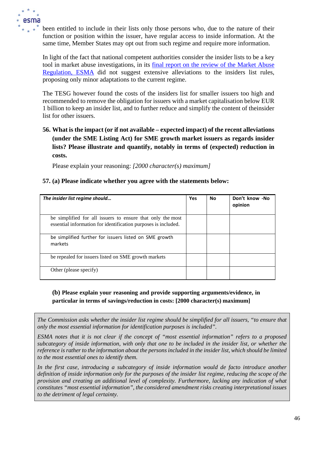

been entitled to include in their lists only those persons who, due to the nature of their function or position within the issuer, have regular access to inside information. At the same time, Member States may opt out from such regime and require more information.

In light of the fact that national competent authorities consider the insider lists to be a key tool in market abuse investigations, in its [final report on the review of the Market Abuse](https://www.esma.europa.eu/sites/default/files/library/esma70-156-2391_final_report_-_mar_review.pdf) [Regulation,](https://www.esma.europa.eu/sites/default/files/library/esma70-156-2391_final_report_-_mar_review.pdf) ESMA did not suggest extensive alleviations to the insiders list rules, proposing only minor adaptations to the current regime.

The TESG however found the costs of the insiders list for smaller issuers too high and recommended to remove the obligation for issuers with a market capitalisation below EUR 1 billion to keep an insider list, and to further reduce and simplify the content of theinsider list for other issuers.

# **56. What is the impact (or if not available – expected impact) of the recent alleviations (under the SME Listing Act) for SME growth market issuers as regards insider lists? Please illustrate and quantify, notably in terms of (expected) reduction in costs.**

Please explain your reasoning: *[2000 character(s) maximum]*

## **57. (a) Please indicate whether you agree with the statements below:**

| The insider list regime should                                                                                               | Yes | <b>No</b> | Don't know -No<br>opinion |
|------------------------------------------------------------------------------------------------------------------------------|-----|-----------|---------------------------|
| be simplified for all issuers to ensure that only the most<br>essential information for identification purposes is included. |     |           |                           |
| be simplified further for issuers listed on SME growth<br>markets                                                            |     |           |                           |
| be repealed for issuers listed on SME growth markets                                                                         |     |           |                           |
| Other (please specify)                                                                                                       |     |           |                           |

## **(b) Please explain your reasoning and provide supporting arguments/evidence, in particular in terms of savings/reduction in costs: [2000 character(s) maximum]**

*The Commission asks whether the insider list regime should be simplified for all issuers, "to ensure that only the most essential information for identification purposes is included".* 

*ESMA notes that it is not clear if the concept of "most essential information" refers to a proposed subcategory of inside information, with only that one to be included in the insider list, or whether the reference is rather to the information about the persons included in the insider list, which should be limited to the most essential ones to identify them.* 

In the first case, introducing a subcategory of inside information would de facto introduce another *definition of inside information only for the purposes of the insider list regime, reducing the scope of the provision and creating an additional level of complexity. Furthermore, lacking any indication of what constitutes "most essential information", the considered amendment risks creating interpretational issues to the detriment of legal certainty.*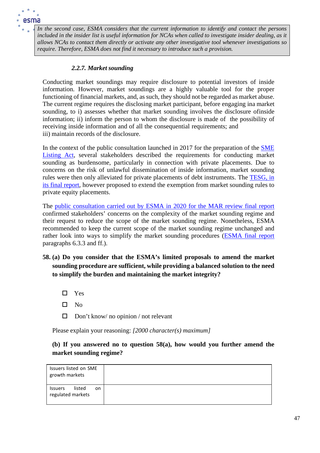

*In the second case, ESMA considers that the current information to identify and contact the persons included in the insider list is useful information for NCAs when called to investigate insider dealing, as it allows NCAs to contact them directly or activate any other investigative tool whenever investigations so require. Therefore, ESMA does not find it necessary to introduce such a provision.*

### *2.2.7. Market sounding*

Conducting market soundings may require disclosure to potential investors of inside information. However, market soundings are a highly valuable tool for the proper functioning of financial markets, and, as such, they should not be regarded as market abuse. The current regime requires the disclosing market participant, before engaging ina market sounding, to i) assesses whether that market sounding involves the disclosure ofinside information; ii) inform the person to whom the disclosure is made of the possibility of receiving inside information and of all the consequential requirements; and iii) maintain records of the disclosure.

In the context of the public consultation launched in 2017 for the preparation of the [SME](https://eur-lex.europa.eu/legal-content/EN/TXT/?uri=CELEX%3A32019R2115) [Listing](https://eur-lex.europa.eu/legal-content/EN/TXT/?uri=CELEX%3A32019R2115) Act, several stakeholders described the requirements for conducting market sounding as burdensome, particularly in connection with private placements. Due to concerns on the risk of unlawful dissemination of inside information, market sounding rules were then only alleviated for private placements of debt instruments. The [TESG, in](https://ec.europa.eu/info/files/210525-report-tesg-cmu-smes_en) [its final report, h](https://ec.europa.eu/info/files/210525-report-tesg-cmu-smes_en)owever proposed to extend the exemption from market sounding rules to private equity placements.

The [public consultation carried out by ESMA in 2020 for the MAR review final report](https://www.esma.europa.eu/sites/default/files/library/esma70-156-2391_final_report_-_mar_review.pdf) confirmed stakeholders' concerns on the complexity of the market sounding regime and their request to reduce the scope of the market sounding regime. Nonetheless, ESMA recommended to keep the current scope of the market sounding regime unchanged and rather look into ways to simplify the market sounding procedures [\(ESMA final report](https://www.esma.europa.eu/sites/default/files/library/esma70-156-2391_final_report_-_mar_review.pdf) paragraphs 6.3.3 and ff.).

**58. (a) Do you consider that the ESMA's limited proposals to amend the market sounding procedure are sufficient, while providing a balanced solution to the need to simplify the burden and maintaining the market integrity?**

□ Yes

- $\square$  No
- $\Box$  Don't know/ no opinion / not relevant

Please explain your reasoning: *[2000 character(s) maximum]*

## **(b) If you answered no to question 58(a), how would you further amend the market sounding regime?**

| Issuers listed on SME<br>growth markets             |  |
|-----------------------------------------------------|--|
| listed<br><b>Issuers</b><br>on<br>regulated markets |  |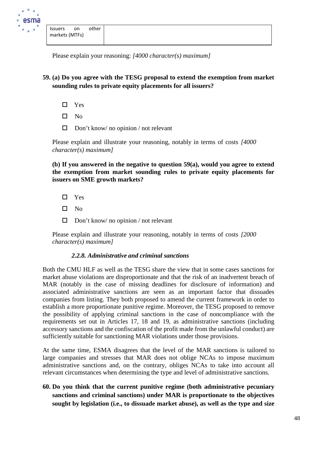

**59. (a) Do you agree with the TESG proposal to extend the exemption from market sounding rules to private equity placements for all issuers?**

- □ Yes
- $\square$  No
- $\Box$  Don't know/ no opinion / not relevant

Please explain and illustrate your reasoning, notably in terms of costs *[4000 character(s) maximum]*

**(b) If you answered in the negative to question 59(a), would you agree to extend the exemption from market sounding rules to private equity placements for issuers on SME growth markets?**

- □ Yes
- $\square$  No
- $\Box$  Don't know/ no opinion / not relevant

Please explain and illustrate your reasoning, notably in terms of costs *[2000 character(s) maximum]*

### *2.2.8. Administrative and criminal sanctions*

Both the CMU HLF as well as the TESG share the view that in some cases sanctions for market abuse violations are disproportionate and that the risk of an inadvertent breach of MAR (notably in the case of missing deadlines for disclosure of information) and associated administrative sanctions are seen as an important factor that dissuades companies from listing. They both proposed to amend the current framework in order to establish a more proportionate punitive regime. Moreover, the TESG proposed to remove the possibility of applying criminal sanctions in the case of noncompliance with the requirements set out in Articles 17, 18 and 19, as administrative sanctions (including accessory sanctions and the confiscation of the profit made from the unlawful conduct) are sufficiently suitable for sanctioning MAR violations under those provisions.

At the same time, ESMA disagrees that the level of the MAR sanctions is tailored to large companies and stresses that MAR does not oblige NCAs to impose maximum administrative sanctions and, on the contrary, obliges NCAs to take into account all relevant circumstances when determining the type and level of administrative sanctions.

**60. Do you think that the current punitive regime (both administrative pecuniary sanctions and criminal sanctions) under MAR is proportionate to the objectives sought by legislation (i.e., to dissuade market abuse), as well as the type and size**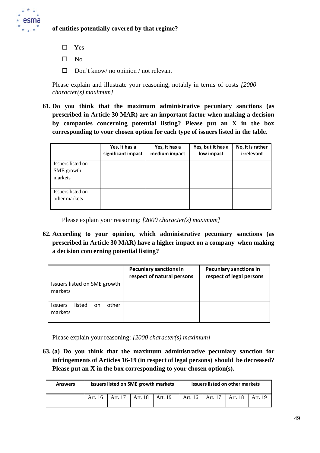

## **of entities potentially covered by that regime?**

- □ Yes
- $\square$  No
- $\Box$  Don't know/ no opinion / not relevant

Please explain and illustrate your reasoning, notably in terms of costs *[2000 character(s) maximum]*

**61. Do you think that the maximum administrative pecuniary sanctions (as prescribed in Article 30 MAR) are an important factor when making a decision by companies concerning potential listing? Please put an X in the box corresponding to your chosen option for each type of issuers listed in the table.**

|                                            | Yes, it has a<br>significant impact | Yes, it has a<br>medium impact | Yes, but it has a<br>low impact | No, it is rather<br>irrelevant |
|--------------------------------------------|-------------------------------------|--------------------------------|---------------------------------|--------------------------------|
| Issuers listed on<br>SME growth<br>markets |                                     |                                |                                 |                                |
| Issuers listed on<br>other markets         |                                     |                                |                                 |                                |

Please explain your reasoning: *[2000 character(s) maximum]*

**62. According to your opinion, which administrative pecuniary sanctions (as prescribed in Article 30 MAR) have a higher impact on a company when making a decision concerning potential listing?**

|                                                     | <b>Pecuniary sanctions in</b><br>respect of natural persons | <b>Pecuniary sanctions in</b><br>respect of legal persons |
|-----------------------------------------------------|-------------------------------------------------------------|-----------------------------------------------------------|
| Issuers listed on SME growth<br>markets             |                                                             |                                                           |
| other<br>listed<br><b>Issuers</b><br>on.<br>markets |                                                             |                                                           |

Please explain your reasoning: *[2000 character(s) maximum]*

**63. (a) Do you think that the maximum administrative pecuniary sanction for infringements of Articles 16-19 (in respect of legal persons) should be decreased? Please put an X in the box corresponding to your chosen option(s).**

| <b>Answers</b> | <b>Issuers listed on SME growth markets</b> |         |                   | Issuers listed on other markets |         |         |         |         |
|----------------|---------------------------------------------|---------|-------------------|---------------------------------|---------|---------|---------|---------|
|                | Art. 16                                     | Art. 17 | Art. 18   Art. 19 |                                 | Art. 16 | Art. 17 | Art. 18 | Art. 19 |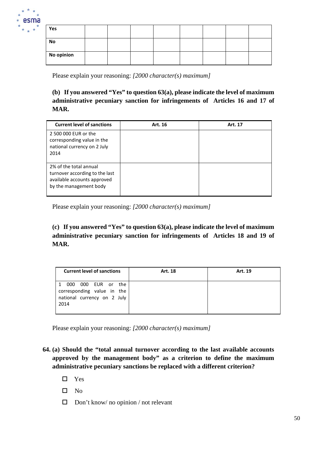

| Yes        |  |  |  |  |
|------------|--|--|--|--|
| No         |  |  |  |  |
| No opinion |  |  |  |  |

**(b) If you answered "Yes" to question 63(a), please indicate the level of maximum administrative pecuniary sanction for infringements of Articles 16 and 17 of MAR.**

| <b>Current level of sanctions</b>                                                                                 | Art. 16 | Art. 17 |
|-------------------------------------------------------------------------------------------------------------------|---------|---------|
| 2 500 000 EUR or the<br>corresponding value in the<br>national currency on 2 July<br>2014                         |         |         |
| 2% of the total annual<br>turnover according to the last<br>available accounts approved<br>by the management body |         |         |

Please explain your reasoning: *[2000 character(s) maximum]*

**(c) If you answered "Yes" to question 63(a), please indicate the level of maximum administrative pecuniary sanction for infringements of Articles 18 and 19 of MAR.**

| <b>Current level of sanctions</b>                                                          | Art. 18 | Art. 19 |
|--------------------------------------------------------------------------------------------|---------|---------|
| 000 EUR or the<br>000<br>corresponding value in the<br>national currency on 2 July<br>2014 |         |         |

Please explain your reasoning: *[2000 character(s) maximum]*

- **64. (a) Should the "total annual turnover according to the last available accounts approved by the management body" as a criterion to define the maximum administrative pecuniary sanctions be replaced with a different criterion?**
	- □ Yes
	- $\square$  No
	- $\Box$  Don't know/ no opinion / not relevant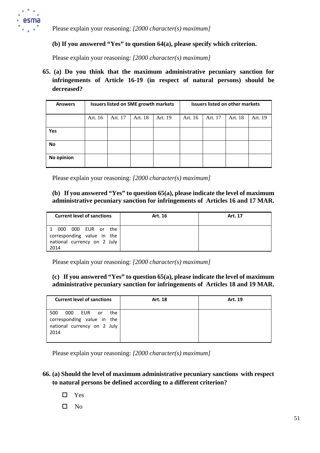

### **(b) If you answered "Yes" to question 64(a), please specify which criterion.**

Please explain your reasoning: *[2000 character(s) maximum]*

**65. (a) Do you think that the maximum administrative pecuniary sanction for infringements of Article 16-19 (in respect of natural persons) should be decreased?**

| <b>Answers</b> | <b>Issuers listed on SME growth markets</b> |         |         |         |         | <b>Issuers listed on other markets</b> |         |         |
|----------------|---------------------------------------------|---------|---------|---------|---------|----------------------------------------|---------|---------|
|                | Art. 16                                     | Art. 17 | Art. 18 | Art. 19 | Art. 16 | Art. 17                                | Art. 18 | Art. 19 |
| Yes            |                                             |         |         |         |         |                                        |         |         |
| <b>No</b>      |                                             |         |         |         |         |                                        |         |         |
| No opinion     |                                             |         |         |         |         |                                        |         |         |

Please explain your reasoning: *[2000 character(s) maximum]*

### **(b) If you answered "Yes" to question 65(a), please indicate the level of maximum administrative pecuniary sanction for infringements of Articles 16 and 17 MAR.**

| <b>Current level of sanctions</b>                                                          | Art. 16 | Art. 17 |
|--------------------------------------------------------------------------------------------|---------|---------|
| 000 EUR or the<br>000<br>corresponding value in the<br>national currency on 2 July<br>2014 |         |         |

Please explain your reasoning: *[2000 character(s) maximum]*

### **(c) If you answered "Yes" to question 65(a), please indicate the level of maximum administrative pecuniary sanction for infringements of Articles 18 and 19 MAR.**

| <b>Current level of sanctions</b>                                                                             | Art. 18 | Art. 19 |
|---------------------------------------------------------------------------------------------------------------|---------|---------|
| 500<br><b>EUR</b><br>000<br>the<br>or or<br>corresponding value in the<br>national currency on 2 July<br>2014 |         |         |

Please explain your reasoning: *[2000 character(s) maximum]*

## **66. (a) Should the level of maximum administrative pecuniary sanctions with respect to natural persons be defined according to a different criterion?**

- □ Yes
- $\square$  No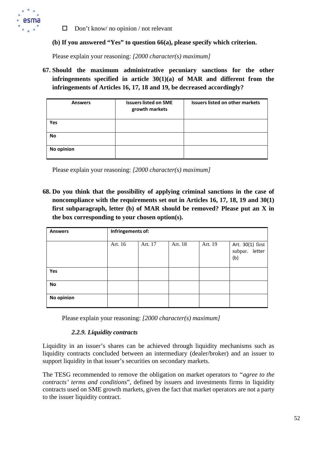

 $\Box$  Don't know/ no opinion / not relevant

### **(b) If you answered "Yes" to question 66(a), please specify which criterion.**

Please explain your reasoning: *[2000 character(s) maximum]*

**67. Should the maximum administrative pecuniary sanctions for the other infringements specified in article 30(1)(a) of MAR and different from the infringements of Articles 16, 17, 18 and 19, be decreased accordingly?**

| <b>Answers</b> | <b>Issuers listed on SME</b><br>growth markets | <b>Issuers listed on other markets</b> |
|----------------|------------------------------------------------|----------------------------------------|
| Yes            |                                                |                                        |
| <b>No</b>      |                                                |                                        |
| No opinion     |                                                |                                        |

Please explain your reasoning: *[2000 character(s) maximum]*

**68. Do you think that the possibility of applying criminal sanctions in the case of noncompliance with the requirements set out in Articles 16, 17, 18, 19 and 30(1) first subparagraph, letter (b) of MAR should be removed? Please put an X in the box corresponding to your chosen option(s).**

| <b>Answers</b> | Infringements of: |         |         |         |                                           |  |
|----------------|-------------------|---------|---------|---------|-------------------------------------------|--|
|                | Art. 16           | Art. 17 | Art. 18 | Art. 19 | Art. 30(1) first<br>subpar. letter<br>(b) |  |
| Yes            |                   |         |         |         |                                           |  |
| No             |                   |         |         |         |                                           |  |
| No opinion     |                   |         |         |         |                                           |  |

Please explain your reasoning: *[2000 character(s) maximum]*

### *2.2.9. Liquidity contracts*

Liquidity in an issuer's shares can be achieved through liquidity mechanisms such as liquidity contracts concluded between an intermediary (dealer/broker) and an issuer to support liquidity in that issuer's securities on secondary markets.

The TESG recommended to remove the obligation on market operators to *"agree to the contracts' terms and conditions*", defined by issuers and investments firms in liquidity contracts used on SME growth markets, given the fact that market operators are not a party to the issuer liquidity contract.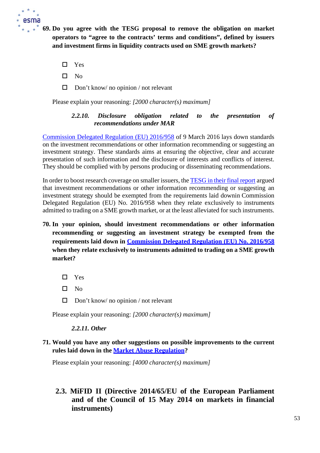

**69. Do you agree with the TESG proposal to remove the obligation on market operators to "agree to the contracts' terms and conditions", defined by issuers and investment firms in liquidity contracts used on SME growth markets?**

- □ Yes
- $\square$  No
- $\Box$  Don't know/ no opinion / not relevant

Please explain your reasoning: *[2000 character(s) maximum]*

## *2.2.10. Disclosure obligation related to the presentation of recommendations under MAR*

[Commission Delegated Regulation \(EU\) 2016/958](https://eur-lex.europa.eu/legal-content/EN/TXT/?uri=CELEX%3A32016R0958) of 9 March 2016 lays down standards on the investment recommendations or other information recommending or suggesting an investment strategy. These standards aims at ensuring the objective, clear and accurate presentation of such information and the disclosure of interests and conflicts of interest. They should be complied with by persons producing or disseminating recommendations.

In order to boost research coverage on smaller issuers, the [TESG in their final report](https://ec.europa.eu/info/sites/default/files/business_economy_euro/growth_and_investment/documents/210525-report-tesg-cmu-smes_en.pdf) argued that investment recommendations or other information recommending or suggesting an investment strategy should be exempted from the requirements laid downin Commission Delegated Regulation (EU) No. 2016/958 when they relate exclusively to instruments admitted to trading on a SME growth market, or at the least alleviated for such instruments.

- **70. In your opinion, should investment recommendations or other information recommending or suggesting an investment strategy be exempted from the requirements laid down in [Commission Delegated Regulation \(EU\) No. 2016/958](https://eur-lex.europa.eu/legal-content/EN/TXT/?uri=CELEX%3A32016R0958) when they relate exclusively to instruments admitted to trading on a SME growth market?**
	- □ Yes
	- $\square$  No
	- $\Box$  Don't know/ no opinion / not relevant

Please explain your reasoning: *[2000 character(s) maximum]*

### *2.2.11. Other*

## **71. Would you have any other suggestions on possible improvements to the current rules laid down in the Market [Abuse Regulation?](https://eur-lex.europa.eu/legal-content/EN/TXT/?uri=CELEX%3A32014R0596)**

Please explain your reasoning: *[4000 character(s) maximum]*

# **2.3. MiFID II (Directive 2014/65/EU of the European Parliament and of the Council of 15 May 2014 on markets in financial instruments)**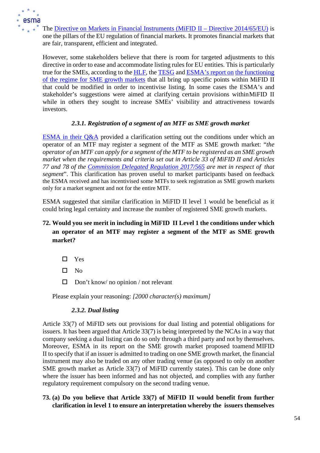

The Directive on Markets in Financial Instruments (MiFID II – Directive 2014/65/EU) is one [the pillars of the EU regulation of financial markets. It promotes financial markets](https://eur-lex.europa.eu/legal-content/EN/TXT/?uri=CELEX%3A32014L0065) that are fair, transparent, efficient and integrated.

However, some stakeholders believe that there is room for targeted adjustments to this directive in order to ease and accommodate listing rules for EU entities. This is particularly true for the SMEs, according to the [HLF, t](https://ec.europa.eu/info/sites/default/files/business_economy_euro/growth_and_investment/documents/200610-cmu-high-level-forum-final-report_en.pdf)he [TESG](https://ec.europa.eu/info/sites/default/files/business_economy_euro/growth_and_investment/documents/210525-report-tesg-cmu-smes_en.pdf) and [ESMA's report on](https://www.esma.europa.eu/sites/default/files/library/final_report_on_sme_gms_-_mifid_ii.pdf) [the functioning](https://www.esma.europa.eu/sites/default/files/library/final_report_on_sme_gms_-_mifid_ii.pdf)  [of the regime for SME growth markets](https://www.esma.europa.eu/sites/default/files/library/final_report_on_sme_gms_-_mifid_ii.pdf) that all bring up specific points within MiFID II that could be modified in order to incentivise listing. In some cases the ESMA's and stakeholder's suggestions were aimed at clarifying certain provisions withinMiFID II while in others they sought to increase SMEs' visibility and attractiveness towards investors.

## *2.3.1. Registration of a segment of an MTF as SME growth market*

ESMA in their  $Q&A$  provided a clarification setting out the conditions under which an operator of an MTF may register a segment of the MTF as SME growth market: "*the operator of an MTF can apply for a segment of the MTF to be registered as an SME growth market when the requirements and criteria set out in Article 33 of MiFID II and Articles 77 and 78 of the [Commission Delegated Regulation 2017/565](https://eur-lex.europa.eu/legal-content/EN/TXT/?uri=CELEX%3A32017R0565) are met in respect of that segment*". This clarification has proven useful to market participants based on feedback the ESMA received and has incentivised some MTFs to seek registration as SME growth markets only for a market segment and not for the entire MTF.

ESMA suggested that similar clarification in MiFID II level 1 would be beneficial as it could bring legal certainty and increase the number of registered SME growth markets.

# **72. Would you see merit in including in MiFID II Level 1 the conditions under which an operator of an MTF may register a segment of the MTF as SME growth market?**

- Yes
- $\Pi$  No
- $\Box$  Don't know/ no opinion / not relevant

Please explain your reasoning: *[2000 character(s) maximum]*

## *2.3.2. Dual listing*

Article 33(7) of MiFID sets out provisions for dual listing and potential obligations for issuers. It has been argued that Article 33(7) is being interpreted by the NCAs in a way that company seeking a dual listing can do so only through a third party and not by themselves. Moreover, ESMA in its report on the SME growth market proposed toamend MIFID II to specify that if an issuer is admitted to trading on one SME growth market, the financial instrument may also be traded on any other trading venue (as opposed to only on another SME growth market as Article 33(7) of MiFID currently states). This can be done only where the issuer has been informed and has not objected, and complies with any further regulatory requirement compulsory on the second trading venue.

## **73. (a) Do you believe that Article 33(7) of MiFID II would benefit from further clarification in level 1 to ensure an interpretation whereby the issuers themselves**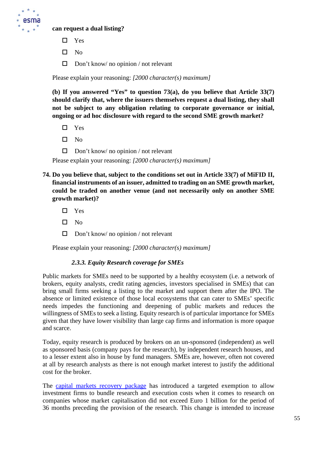

### **can request a dual listing?**

- □ Yes
- $\square$  No
- $\Box$  Don't know/ no opinion / not relevant

Please explain your reasoning: *[2000 character(s) maximum]*

**(b) If you answered "Yes" to question 73(a), do you believe that Article 33(7) should clarify that, where the issuers themselves request a dual listing, they shall not be subject to any obligation relating to corporate governance or initial, ongoing or ad hoc disclosure with regard to the second SME growth market?**

- $\square$  Yes
- $\Pi$  No
- $\Box$  Don't know/ no opinion / not relevant

Please explain your reasoning: *[2000 character(s) maximum]*

- **74. Do you believe that, subject to the conditions set out in Article 33(7) of MiFID II, financial instruments of an issuer, admitted to trading on an SME growth market, could be traded on another venue (and not necessarily only on another SME growth market)?**
	- □ Yes
	- $\Pi$  No
	- $\Box$  Don't know/ no opinion / not relevant

Please explain your reasoning: *[2000 character(s) maximum]*

#### *2.3.3. Equity Research coverage for SMEs*

Public markets for SMEs need to be supported by a healthy ecosystem (i.e. a network of brokers, equity analysts, credit rating agencies, investors specialised in SMEs) that can bring small firms seeking a listing to the market and support them after the IPO. The absence or limited existence of those local ecosystems that can cater to SMEs' specific needs impedes the functioning and deepening of public markets and reduces the willingness of SMEs to seek a listing. Equity research is of particular importance for SMEs given that they have lower visibility than large cap firms and information is more opaque and scarce.

Today, equity research is produced by brokers on an un-sponsored (independent) as well as sponsored basis (company pays for the research), by independent research houses, and to a lesser extent also in house by fund managers. SMEs are, however, often not covered at all by research analysts as there is not enough market interest to justify the additional cost for the broker.

The [capital markets recovery package](https://ec.europa.eu/info/publications/200722-proposal-capital-markets-recovery_en) has introduced a targeted exemption to allow investment firms to bundle research and execution costs when it comes to research on companies whose market capitalisation did not exceed Euro 1 billion for the period of 36 months preceding the provision of the research. This change is intended to increase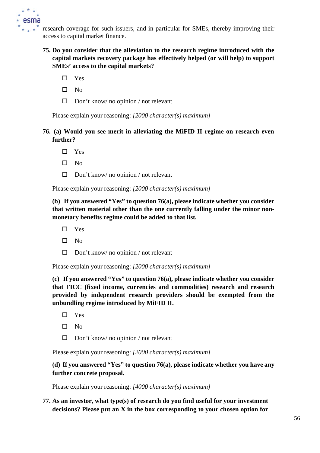

research coverage for such issuers, and in particular for SMEs, thereby improving their access to capital market finance.

- **75. Do you consider that the alleviation to the research regime introduced with the capital markets recovery package has effectively helped (or will help) to support SMEs' access to the capital markets?**
	- □ Yes
	- $\square$  No
	- $\Box$  Don't know/ no opinion / not relevant

Please explain your reasoning: *[2000 character(s) maximum]*

- **76. (a) Would you see merit in alleviating the MiFID II regime on research even further?**
	- $\Box$  Yes
	- $\square$  No
	- $\Box$  Don't know/ no opinion / not relevant

Please explain your reasoning: *[2000 character(s) maximum]*

**(b) If you answered "Yes" to question 76(a), please indicate whether you consider that written material other than the one currently falling under the minor nonmonetary benefits regime could be added to that list.**

- Yes
- $\square$  No
- $\Box$  Don't know/ no opinion / not relevant

Please explain your reasoning: *[2000 character(s) maximum]*

**(c) If you answered "Yes" to question 76(a), please indicate whether you consider that FICC (fixed income, currencies and commodities) research and research provided by independent research providers should be exempted from the unbundling regime introduced by MiFID II.**

- $\Box$  Yes
- $\square$  No
- $\Box$  Don't know/ no opinion / not relevant

Please explain your reasoning: *[2000 character(s) maximum]*

## **(d) If you answered "Yes" to question 76(a), please indicate whether you have any further concrete proposal.**

Please explain your reasoning: *[4000 character(s) maximum]*

## **77. As an investor, what type(s) of research do you find useful for your investment decisions? Please put an X in the box corresponding to your chosen option for**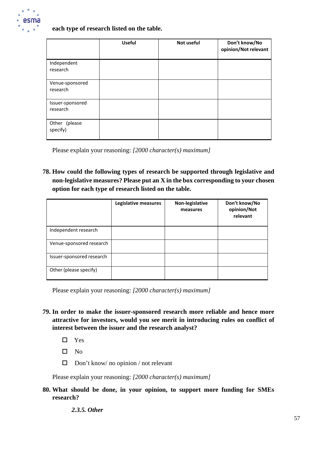

### **each type of research listed on the table.**

|                              | <b>Useful</b> | Not useful | Don't know/No<br>opinion/Not relevant |
|------------------------------|---------------|------------|---------------------------------------|
| Independent<br>research      |               |            |                                       |
| Venue-sponsored<br>research  |               |            |                                       |
| Issuer-sponsored<br>research |               |            |                                       |
| Other (please<br>specify)    |               |            |                                       |

Please explain your reasoning: *[2000 character(s) maximum]*

**78. How could the following types of research be supported through legislative and non-legislative measures? Please put an X in the box corresponding to your chosen option for each type of research listed on the table.**

|                           | Legislative measures | Non-legislative<br>measures | Don't know/No<br>opinion/Not<br>relevant |
|---------------------------|----------------------|-----------------------------|------------------------------------------|
| Independent research      |                      |                             |                                          |
| Venue-sponsored research  |                      |                             |                                          |
| Issuer-sponsored research |                      |                             |                                          |
| Other (please specify)    |                      |                             |                                          |

Please explain your reasoning: *[2000 character(s) maximum]*

- **79. In order to make the issuer-sponsored research more reliable and hence more attractive for investors, would you see merit in introducing rules on conflict of interest between the issuer and the research analyst?**
	- $\Box$  Yes
	- $\square$  No
	- $\Box$  Don't know/ no opinion / not relevant

Please explain your reasoning: *[2000 character(s) maximum]*

**80. What should be done, in your opinion, to support more funding for SMEs research?**

*2.3.5. Other*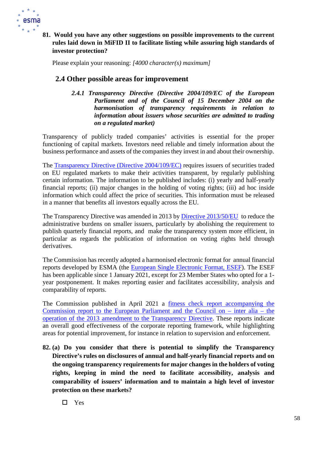

# **81. Would you have any other suggestions on possible improvements to the current rules laid down in MiFID II to facilitate listing while assuring high standards of investor protection?**

Please explain your reasoning: *[4000 character(s) maximum]*

# **2.4 Other possible areas for improvement**

*2.4.1 Transparency Directive (Directive 2004/109/EC of the European Parliament and of the Council of 15 December 2004 on the harmonisation of transparency requirements in relation to information about issuers whose securities are admitted to trading on a regulated market)*

Transparency of publicly traded companies' activities is essential for the proper functioning of capital markets. Investors need reliable and timely information about the business performance and assets of the companies they invest in and about their ownership.

The [Transparency Directive \(Directive 2004/109/EC\)](https://eur-lex.europa.eu/legal-content/EN/TXT/?uri=CELEX%3A32004L0109) requires issuers of securities traded on EU regulated markets to make their activities transparent, by regularly publishing certain information. The information to be published includes: (i) yearly and half-yearly financial reports; (ii) major changes in the holding of voting rights; (iii) ad hoc inside information which could affect the price of securities. This information must be released in a manner that benefits all investors equally across the EU.

The Transparency Directive was amended in 2013 by Directive [2013/50/EU](https://eur-lex.europa.eu/legal-content/EN/TXT/?uri=CELEX%3A02013L0050-20131126) to reduce the administrative burdens on smaller issuers, particularly by abolishing the requirement to publish quarterly financial reports, and make the transparency system more efficient, in particular as regards the publication of information on voting rights held through derivatives.

The Commission has recently adopted a harmonised electronic format for annual financial reports developed by ESMA (the [European Single Electronic Format, ESEF\)](https://ec.europa.eu/info/business-economy-euro/company-reporting-and-auditing/company-reporting/transparency-requirements-listed-companies_en#esef). The ESEF has been applicable since 1 January 2021, except for 23 Member States who opted for a 1 year postponement. It makes reporting easier and facilitates accessibility, analysis and comparability of reports.

The Commission published in April 2021 a fitness check report [accompanying](https://eur-lex.europa.eu/legal-content/EN/TXT/?uri=CELEX%3A52021SC0081) the [Commission report to the European Parliament and the Council on –](https://eur-lex.europa.eu/legal-content/EN/TXT/?uri=CELEX%3A52021SC0081) inter alia – the operation of the 2013 amendment to the [Transparency](https://eur-lex.europa.eu/legal-content/EN/TXT/?uri=CELEX%3A52021SC0081) Directive. These reports indicate an overall good effectiveness of the corporate reporting framework, while highlighting areas for potential improvement, for instance in relation to supervision and enforcement.

**82. (a) Do you consider that there is potential to simplify the Transparency Directive's rules on disclosures of annual and half-yearly financial reports and on the ongoing transparency requirements for major changes in the holders of voting rights, keeping in mind the need to facilitate accessibility, analysis and comparability of issuers' information and to maintain a high level of investor protection on these markets?**

□ Yes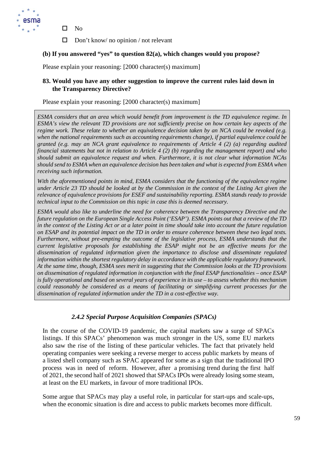

- $\square$  No
- $\Box$  Don't know/ no opinion / not relevant

## **(b) If you answered "yes" to question 82(a), which changes would you propose?**

Please explain your reasoning: [2000 character(s) maximum]

## **83. Would you have any other suggestion to improve the current rules laid down in the Transparency Directive?**

Please explain your reasoning: [2000 character(s) maximum]

*ESMA considers that an area which would benefit from improvement is the TD equivalence regime. In ESMA's view the relevant TD provisions are not sufficiently precise on how certain key aspects of the regime work. These relate to whether an equivalence decision taken by an NCA could be revoked (e.g. when the national requirements such as accounting requirements change), if partial equivalence could be granted (e.g. may an NCA grant equivalence to requirements of Article 4 (2) (a) regarding audited financial statements but not in relation to Article 4 (2) (b) regarding the management report) and who should submit an equivalence request and when. Furthermore, it is not clear what information NCAs should send to ESMA when an equivalence decision has been taken and what is expected from ESMA when receiving such information.* 

*With the aforementioned points in mind, ESMA considers that the functioning of the equivalence regime under Article 23 TD should be looked at by the Commission in the context of the Listing Act given the relevance of equivalence provisions for ESEF and sustainability reporting. ESMA stands ready to provide technical input to the Commission on this topic in case this is deemed necessary.*

*ESMA would also like to underline the need for coherence between the Transparency Directive and the future regulation on the European Single Access Point ('ESAP'). ESMA points out that a review of the TD in the context of the Listing Act or at a later point in time should take into account the future regulation on ESAP and its potential impact on the TD in order to ensure coherence between these two legal texts. Furthermore, without pre-empting the outcome of the legislative process, ESMA understands that the current legislative proposals for establishing the ESAP might not be an effective means for the dissemination of regulated information given the importance to disclose and disseminate regulated information within the shortest regulatory delay in accordance with the applicable regulatory framework. At the same time, though, ESMA sees merit in suggesting that the Commission looks at the TD provisions on dissemination of regulated information in conjunction with the final ESAP functionalities – once ESAP is fully operational and based on several years of experience in its use – to assess whether this mechanism could reasonably be considered as a means of facilitating or simplifying current processes for the dissemination of regulated information under the TD in a cost-effective way.*

## *2.4.2 Special Purpose Acquisition Companies (SPACs)*

In the course of the COVID-19 pandemic, the capital markets saw a surge of SPACs listings. If this SPACs' phenomenon was much stronger in the US, some EU markets also saw the rise of the listing of these particular vehicles. The fact that privately held operating companies were seeking a reverse merger to access public markets by means of a listed shell company such as SPAC appeared for some as a sign that the traditional IPO process was in need of reform. However, after a promising trend during the first half of 2021, the second half of 2021 showed that SPACs IPOs were already losing some steam, at least on the EU markets, in favour of more traditional IPOs.

Some argue that SPACs may play a useful role, in particular for start-ups and scale-ups, when the economic situation is dire and access to public markets becomes more difficult.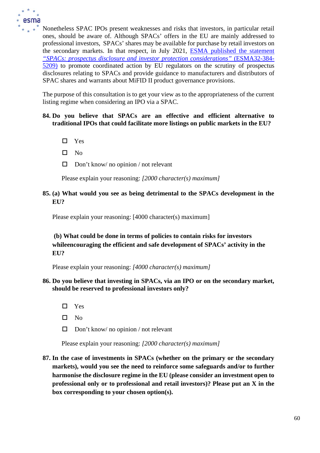

Nonetheless SPAC IPOs present weaknesses and risks that investors, in particular retail ones, should be aware of. Although SPACs' offers in the EU are mainly addressed to professional investors, SPACs' shares may be available for purchase by retail investors on the secondary markets. In that respect, in July 2021, [ESMA published the statement](https://www.esma.europa.eu/sites/default/files/library/esma32-384-5209_esma_public_statement_spacs.pdf) *["SPACs: prospectus disclosure and investor protection considerations"](https://www.esma.europa.eu/sites/default/files/library/esma32-384-5209_esma_public_statement_spacs.pdf)* (ESMA32-384- [5209\)](https://www.esma.europa.eu/sites/default/files/library/esma32-384-5209_esma_public_statement_spacs.pdf) to promote coordinated action by EU regulators on the scrutiny of prospectus disclosures relating to SPACs and provide guidance to manufacturers and distributors of SPAC shares and warrants about MiFID II product governance provisions.

The purpose of this consultation is to get your view as to the appropriateness of the current listing regime when considering an IPO via a SPAC.

### **84. Do you believe that SPACs are an effective and efficient alternative to traditional IPOs that could facilitate more listings on public markets in the EU?**

- □ Yes
- $\Box$  No
- $\Box$  Don't know/ no opinion / not relevant

Please explain your reasoning: *[2000 character(s) maximum]*

### **85. (a) What would you see as being detrimental to the SPACs development in the EU?**

Please explain your reasoning: [4000 character(s) maximum]

# **(b) What could be done in terms of policies to contain risks for investors whileencouraging the efficient and safe development of SPACs' activity in the EU?**

Please explain your reasoning: *[4000 character(s) maximum]*

### **86. Do you believe that investing in SPACs, via an IPO or on the secondary market, should be reserved to professional investors only?**

- Yes
- $\square$  No
- $\Box$  Don't know/ no opinion / not relevant

Please explain your reasoning: *[2000 character(s) maximum]*

**87. In the case of investments in SPACs (whether on the primary or the secondary markets), would you see the need to reinforce some safeguards and/or to further harmonise the disclosure regime in the EU (please consider an investment open to professional only or to professional and retail investors)? Please put an X in the box corresponding to your chosen option(s).**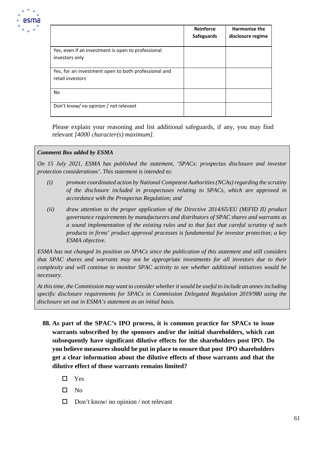

|                                                                          | Reinforce<br><b>Safeguards</b> | <b>Harmonise the</b><br>disclosure regime |
|--------------------------------------------------------------------------|--------------------------------|-------------------------------------------|
| Yes, even if an investment is open to professional<br>investors only     |                                |                                           |
| Yes, for an investment open to both professional and<br>retail investors |                                |                                           |
| No.                                                                      |                                |                                           |
| Don't know/ no opinion / not relevant                                    |                                |                                           |

Please explain your reasoning and list additional safeguards, if any, you may find relevant *[4000 character(s) maximum]*.

### *Comment Box added by ESMA*

*On 15 July 2021, ESMA has published the statement, 'SPACs: prospectus disclosure and investor protection considerations'. This statement is intended to:* 

- *(i) promote coordinated action by National Competent Authorities (NCAs) regarding the scrutiny of the disclosure included in prospectuses relating to SPACs, which are approved in accordance with the Prospectus Regulation; and*
- *(ii) draw attention to the proper application of the Directive 2014/65/EU (MiFID II) product governance requirements by manufacturers and distributors of SPAC shares and warrants as a sound implementation of the existing rules and to that fact that careful scrutiny of such products in firms' product approval processes is fundamental for investor protection; a key ESMA objective.*

*ESMA has not changed its position on SPACs since the publication of this statement and still considers that SPAC shares and warrants may not be appropriate investments for all investors due to their complexity and will continue to monitor SPAC activity to see whether additional initiatives would be necessary.* 

*At this time, the Commission may want to consider whether it would be useful to include an annex including specific disclosure requirements for SPACs in Commission Delegated Regulation 2019/980 using the disclosure set out in ESMA's statement as an initial basis.* 

- **88. As part of the SPAC's IPO process, it is common practice for SPACs to issue warrants subscribed by the sponsors and/or the initial shareholders, which can subsequently have significant dilutive effects for the shareholders post IPO. Do you believe measures should be put in place to ensure that post IPO shareholders get a clear information about the dilutive effects of those warrants and that the dilutive effect of those warrants remains limited?**
	- $\square$  Yes
	- $\square$  No
	- $\Box$  Don't know/ no opinion / not relevant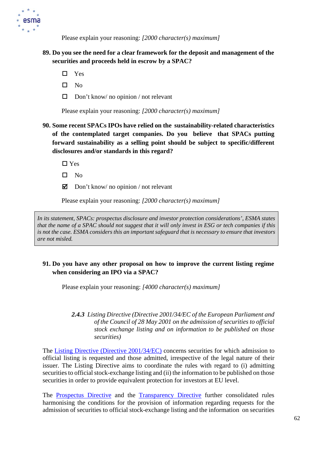

## **89. Do you see the need for a clear framework for the deposit and management of the securities and proceeds held in escrow by a SPAC?**

- □ Yes
- $\square$  No
- $\Box$  Don't know/ no opinion / not relevant

Please explain your reasoning: *[2000 character(s) maximum]*

# **90. Some recent SPACs IPOs have relied on the sustainability-related characteristics of the contemplated target companies. Do you believe that SPACs putting forward sustainability as a selling point should be subject to specific/different disclosures and/or standards in this regard?**

 $\Box$  Yes

- $\square$  No
- $\Box$  Don't know/ no opinion / not relevant

Please explain your reasoning: *[2000 character(s) maximum]*

*In its statement, SPACs: prospectus disclosure and investor protection considerations', ESMA states that the name of a SPAC should not suggest that it will only invest in ESG or tech companies if this is not the case. ESMA considers this an important safeguard that is necessary to ensure that investors are not misled.*

## **91. Do you have any other proposal on how to improve the current listing regime when considering an IPO via a SPAC?**

Please explain your reasoning: *[4000 character(s) maximum]*

### *2.4.3 Listing Directive (Directive 2001/34/EC of the European Parliament and of the Council of 28 May 2001 on the admission of securities to official stock exchange listing and on information to be published on those securities)*

The [Listing Directive \(Directive 2001/34/EC\)](https://eur-lex.europa.eu/legal-content/EN/TXT/?uri=CELEX%3A32001L0034) concerns securities for which admission to official listing is requested and those admitted, irrespective of the legal nature of their issuer. The Listing Directive aims to coordinate the rules with regard to (i) admitting securities to official stock-exchange listing and (ii) the information to be published on those securities in order to provide equivalent protection for investors at [EU](https://eur-lex.europa.eu/summary/glossary/eu_union.html) level.

The [Prospectus](https://eur-lex.europa.eu/legal-content/EN/TXT/?uri=CELEX%3A32017R1129) Directive and the [Transparency](https://eur-lex.europa.eu/legal-content/EN/TXT/?uri=CELEX%3A32004L0109) Directive further consolidated rules harmonising the conditions for the provision of information regarding requests for the admission of securities to official stock-exchange listing and the information on securities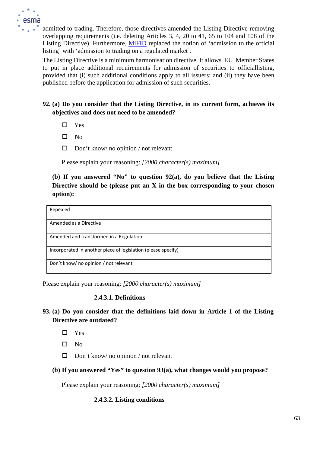

admitted to trading. Therefore, those directives amended the Listing Directive removing overlapping requirements (i.e. deleting Articles 3, 4, 20 to 41, 65 to 104 and 108 of the Listing Directive). Furthermore, [MiFID](https://eur-lex.europa.eu/legal-content/EN/TXT/?uri=CELEX%3A32014L0065) replaced the notion of 'admission to the official listing' with 'admission to trading on a regulated market'.

The Listing Directive is a minimum harmonisation directive. It allows EU Member States to put in place additional requirements for admission of securities to officiallisting, provided that (i) such additional conditions apply to all issuers; and (ii) they have been published before the application for admission of such securities.

# **92. (a) Do you consider that the Listing Directive, in its current form, achieves its objectives and does not need to be amended?**

- $\square$  Yes
- $\square$  No
- $\Box$  Don't know/ no opinion / not relevant

Please explain your reasoning: *[2000 character(s) maximum]*

# **(b) If you answered "No" to question 92(a), do you believe that the Listing Directive should be (please put an X in the box corresponding to your chosen option):**

| Repealed                                                      |  |
|---------------------------------------------------------------|--|
| Amended as a Directive                                        |  |
| Amended and transformed in a Regulation                       |  |
| Incorporated in another piece of legislation (please specify) |  |
| Don't know/ no opinion / not relevant                         |  |

Please explain your reasoning: *[2000 character(s) maximum]*

## **2.4.3.1. Definitions**

# **93. (a) Do you consider that the definitions laid down in Article 1 of the Listing Directive are outdated?**

- $\Box$  Yes
- $\square$  No
- $\Box$  Don't know/ no opinion / not relevant
- **(b) If you answered "Yes" to question 93(a), what changes would you propose?**

Please explain your reasoning: *[2000 character(s) maximum]*

## **2.4.3.2. Listing conditions**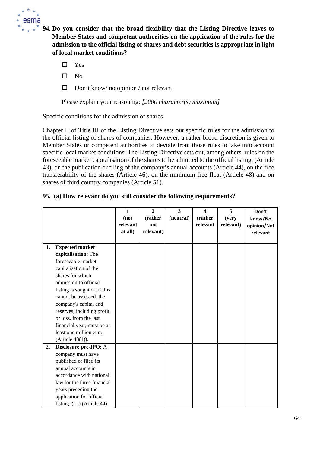

**94. Do you consider that the broad flexibility that the Listing Directive leaves to Member States and competent authorities on the application of the rules for the admission to the official listing of shares and debt securities is appropriate in light of local market conditions?**

Yes

- $\square$  No
- $\Box$  Don't know/ no opinion / not relevant

Please explain your reasoning: *[2000 character(s) maximum]*

Specific conditions for the admission of shares

Chapter II of Title III of the Listing Directive sets out specific rules for the admission to the official listing of shares of companies. However, a rather broad discretion is given to Member States or competent authorities to deviate from those rules to take into account specific local market conditions. The Listing Directive sets out, among others, rules on the foreseeable market capitalisation of the shares to be admitted to the official listing, (Article 43), on the publication or filing of the company's annual accounts (Article 44), on the free transferability of the shares (Article 46), on the minimum free float (Article 48) and on shares of third country companies (Article 51).

## **95. (a) How relevant do you still consider the following requirements?**

|    |                               | $\mathbf{1}$<br>(not<br>relevant<br>at all) | $\overline{2}$<br>(rather<br>not<br>relevant) | 3<br>(neutral) | $\blacktriangle$<br>(rather<br>relevant | 5<br>(very<br>relevant) | Don't<br>know/No<br>opinion/Not<br>relevant |
|----|-------------------------------|---------------------------------------------|-----------------------------------------------|----------------|-----------------------------------------|-------------------------|---------------------------------------------|
| 1. | <b>Expected market</b>        |                                             |                                               |                |                                         |                         |                                             |
|    | capitalisation: The           |                                             |                                               |                |                                         |                         |                                             |
|    | foreseeable market            |                                             |                                               |                |                                         |                         |                                             |
|    | capitalisation of the         |                                             |                                               |                |                                         |                         |                                             |
|    | shares for which              |                                             |                                               |                |                                         |                         |                                             |
|    | admission to official         |                                             |                                               |                |                                         |                         |                                             |
|    | listing is sought or, if this |                                             |                                               |                |                                         |                         |                                             |
|    | cannot be assessed, the       |                                             |                                               |                |                                         |                         |                                             |
|    | company's capital and         |                                             |                                               |                |                                         |                         |                                             |
|    | reserves, including profit    |                                             |                                               |                |                                         |                         |                                             |
|    | or loss, from the last        |                                             |                                               |                |                                         |                         |                                             |
|    | financial year, must be at    |                                             |                                               |                |                                         |                         |                                             |
|    | least one million euro        |                                             |                                               |                |                                         |                         |                                             |
|    | (Article 43(1)).              |                                             |                                               |                |                                         |                         |                                             |
| 2. | Disclosure pre-IPO: A         |                                             |                                               |                |                                         |                         |                                             |
|    | company must have             |                                             |                                               |                |                                         |                         |                                             |
|    | published or filed its        |                                             |                                               |                |                                         |                         |                                             |
|    | annual accounts in            |                                             |                                               |                |                                         |                         |                                             |
|    | accordance with national      |                                             |                                               |                |                                         |                         |                                             |
|    | law for the three financial   |                                             |                                               |                |                                         |                         |                                             |
|    | years preceding the           |                                             |                                               |                |                                         |                         |                                             |
|    | application for official      |                                             |                                               |                |                                         |                         |                                             |
|    | listing. $()$ (Article 44).   |                                             |                                               |                |                                         |                         |                                             |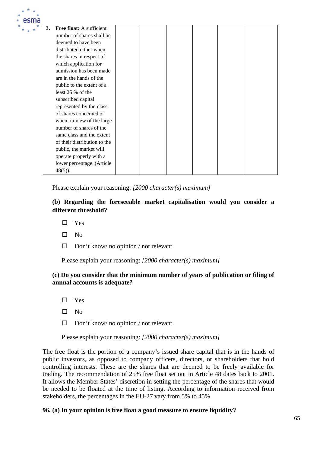| esma |    |                              |  |  |  |
|------|----|------------------------------|--|--|--|
|      | 3. | Free float: A sufficient     |  |  |  |
|      |    | number of shares shall be    |  |  |  |
|      |    | deemed to have been          |  |  |  |
|      |    | distributed either when      |  |  |  |
|      |    | the shares in respect of     |  |  |  |
|      |    | which application for        |  |  |  |
|      |    | admission has been made      |  |  |  |
|      |    | are in the hands of the      |  |  |  |
|      |    | public to the extent of a    |  |  |  |
|      |    | least 25 % of the            |  |  |  |
|      |    | subscribed capital           |  |  |  |
|      |    | represented by the class     |  |  |  |
|      |    | of shares concerned or       |  |  |  |
|      |    | when, in view of the large   |  |  |  |
|      |    | number of shares of the      |  |  |  |
|      |    | same class and the extent    |  |  |  |
|      |    | of their distribution to the |  |  |  |
|      |    | public, the market will      |  |  |  |
|      |    | operate properly with a      |  |  |  |
|      |    | lower percentage. (Article   |  |  |  |
|      |    | $48(5)$ ).                   |  |  |  |

## **(b) Regarding the foreseeable market capitalisation would you consider a different threshold?**

- $\Box$  Yes
- $\square$  No
- $\Box$  Don't know/ no opinion / not relevant

Please explain your reasoning: *[2000 character(s) maximum]*

## **(c) Do you consider that the minimum number of years of publication or filing of annual accounts is adequate?**

- □ Yes
- $\square$  No
- $\Box$  Don't know/ no opinion / not relevant

Please explain your reasoning: *[2000 character(s) maximum]*

The free float is the portion of a company's issued share capital that is in the hands of public investors, as opposed to company officers, directors, or shareholders that hold controlling interests. These are the shares that are deemed to be freely available for trading. The recommendation of 25% free float set out in Article 48 dates back to 2001. It allows the Member States' discretion in setting the percentage of the shares that would be needed to be floated at the time of listing. According to information received from stakeholders, the percentages in the EU-27 vary from 5% to 45%.

## **96. (a) In your opinion is free float a good measure to ensure liquidity?**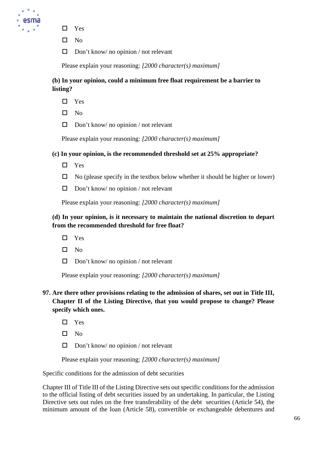

- □ Yes
- $\square$  No
- $\Box$  Don't know/ no opinion / not relevant

# **(b) In your opinion, could a minimum free float requirement be a barrier to listing?**

- □ Yes
- $\square$  No
- $\Box$  Don't know/ no opinion / not relevant

Please explain your reasoning: *[2000 character(s) maximum]*

## **(c) In your opinion, is the recommended threshold set at 25% appropriate?**

- □ Yes
- $\Box$  No (please specify in the textbox below whether it should be higher or lower)
- $\Box$  Don't know/ no opinion / not relevant

Please explain your reasoning: *[2000 character(s) maximum]*

# **(d) In your opinion, is it necessary to maintain the national discretion to depart from the recommended threshold for free float?**

- □ Yes
- $\Box$  No
- $\Box$  Don't know/ no opinion / not relevant

Please explain your reasoning: *[2000 character(s) maximum]*

# **97. Are there other provisions relating to the admission of shares, set out in Title III, Chapter II of the Listing Directive, that you would propose to change? Please specify which ones.**

- $\Box$  Yes
- $\square$  No
- $\Box$  Don't know/ no opinion / not relevant

Please explain your reasoning: *[2000 character(s) maximum]*

Specific conditions for the admission of debt securities

Chapter III of Title III of the Listing Directive sets out specific conditions for the admission to the official listing of debt securities issued by an undertaking. In particular, the Listing Directive sets out rules on the free transferability of the debt securities (Article 54), the minimum amount of the loan (Article 58), convertible or exchangeable debentures and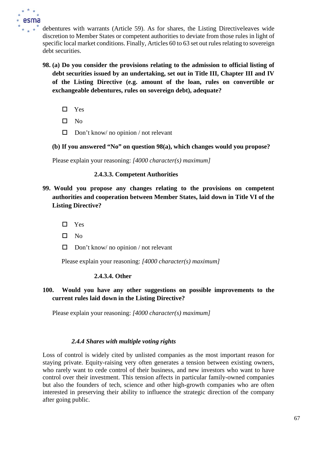

debentures with warrants (Article 59). As for shares, the Listing Directiveleaves wide discretion to Member States or competent authorities to deviate from those rules in light of specific local market conditions. Finally, Articles 60 to 63 set out rules relating to sovereign debt securities.

- **98. (a) Do you consider the provisions relating to the admission to official listing of debt securities issued by an undertaking, set out in Title III, Chapter III and IV of the Listing Directive (e.g. amount of the loan, rules on convertible or exchangeable debentures, rules on sovereign debt), adequate?**
	- □ Yes
	- $\square$  No
	- $\Box$  Don't know/ no opinion / not relevant
	- **(b) If you answered "No" on question 98(a), which changes would you propose?**

Please explain your reasoning: *[4000 character(s) maximum]*

### **2.4.3.3. Competent Authorities**

- **99. Would you propose any changes relating to the provisions on competent authorities and cooperation between Member States, laid down in Title VI of the Listing Directive?**
	- Yes
	- $\Box$  No
	- $\Box$  Don't know/ no opinion / not relevant

Please explain your reasoning: *[4000 character(s) maximum]*

### **2.4.3.4. Other**

## **100. Would you have any other suggestions on possible improvements to the current rules laid down in the Listing Directive?**

Please explain your reasoning: *[4000 character(s) maximum]*

### *2.4.4 Shares with multiple voting rights*

Loss of control is widely cited by unlisted companies as the most important reason for staying private. Equity-raising very often generates a tension between existing owners, who rarely want to cede control of their business, and new investors who want to have control over their investment. This tension affects in particular family-owned companies but also the founders of tech, science and other high-growth companies who are often interested in preserving their ability to influence the strategic direction of the company after going public.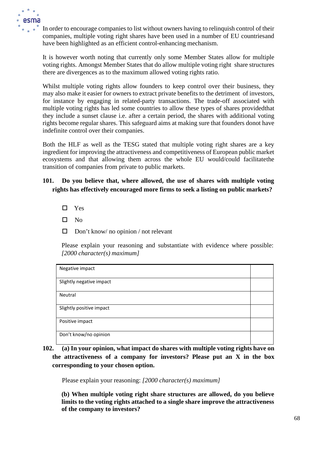

In order to encourage companies to list without owners having to relinquish control of their companies, multiple voting right shares have been used in a number of EU countriesand have been highlighted as an efficient control-enhancing mechanism.

It is however worth noting that currently only some Member States allow for multiple voting rights. Amongst Member States that do allow multiple voting right share structures there are divergences as to the maximum allowed voting rights ratio.

Whilst multiple voting rights allow founders to keep control over their business, they may also make it easier for owners to extract private benefits to the detriment of investors, for instance by engaging in related-party transactions. The trade-off associated with multiple voting rights has led some countries to allow these types of shares providedthat they include a sunset clause i.e. after a certain period, the shares with additional voting rights become regular shares. This safeguard aims at making sure that founders donot have indefinite control over their companies.

Both the HLF as well as the TESG stated that multiple voting right shares are a key ingredient for improving the attractiveness and competitiveness of European public market ecosystems and that allowing them across the whole EU would/could facilitatethe transition of companies from private to public markets.

# **101. Do you believe that, where allowed, the use of shares with multiple voting rights has effectively encouraged more firms to seek a listing on public markets?**

- □ Yes
- $\square$  No
- $\Box$  Don't know/ no opinion / not relevant

Please explain your reasoning and substantiate with evidence where possible: *[2000 character(s) maximum]*

| Negative impact          |  |
|--------------------------|--|
|                          |  |
|                          |  |
| Slightly negative impact |  |
|                          |  |
|                          |  |
| Neutral                  |  |
|                          |  |
|                          |  |
| Slightly positive impact |  |
|                          |  |
|                          |  |
| Positive impact          |  |
|                          |  |
|                          |  |
| Don't know/no opinion    |  |
|                          |  |
|                          |  |

**102. (a) In your opinion, what impact do shares with multiple voting rights have on the attractiveness of a company for investors? Please put an X in the box corresponding to your chosen option.**

Please explain your reasoning: *[2000 character(s) maximum]*

**(b) When multiple voting right share structures are allowed, do you believe limits to the voting rights attached to a single share improve the attractiveness of the company to investors?**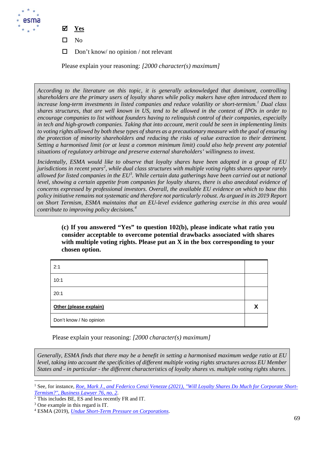

- **Yes**
- $\square$  No
- $\Box$  Don't know/ no opinion / not relevant

*According to the literature on this topic, it is generally acknowledged that dominant, controlling shareholders are the primary users of loyalty shares while policy makers have often introduced them to increase long-term investments in listed companies and reduce volatility or short-termism.[1](#page-69-0) Dual class shares structures, that are well known in US, tend to be allowed in the context of IPOs in order to encourage companies to list without founders having to relinquish control of their companies, especially in tech and high-growth companies. Taking that into account, merit could be seen in implementing limits to voting rights allowed by both these types of shares as a precautionary measure with the goal of ensuring the protection of minority shareholders and reducing the risks of value extraction to their detriment. Setting a harmonised limit (or at least a common minimum limit) could also help prevent any potential situations of regulatory arbitrage and preserve external shareholders' willingness to invest.* 

*Incidentally, ESMA would like to observe that loyalty shares have been adopted in a group of EU*  jurisdictions in recent years<sup>[2](#page-69-1)</sup>, while dual class structures with multiple voting rights shares appear rarely *allowed for listed companies in the EU[3](#page-69-2) . While certain data gatherings have been carried out at national level, showing a certain appetite from companies for loyalty shares, there is also anecdotal evidence of concerns expressed by professional investors. Overall, the available EU evidence on which to base this policy initiative remains not systematic and therefore not particularly robust. As argued in its 2019 Report on Short Termism, ESMA maintains that an EU-level evidence gathering exercise in this area would contribute to improving policy decisions.[4](#page-69-3)*

**(c) If you answered "Yes" to question 102(b), please indicate what ratio you consider acceptable to overcome potential drawbacks associated with shares with multiple voting rights. Please put an X in the box corresponding to your chosen option.**

| 2:1                     |   |
|-------------------------|---|
| 10:1                    |   |
| 20:1                    |   |
| Other (please explain)  | v |
| Don't know / No opinion |   |

Please explain your reasoning: *[2000 character(s) maximum]*

*Generally, ESMA finds that there may be a benefit in setting a harmonised maximum wedge ratio at EU level, taking into account the specificities of different multiple voting rights structures across EU Member States and - in particular - the different characteristics of loyalty shares vs. multiple voting rights shares.* 

<span id="page-69-0"></span>See, for instance, *[Roe, Mark J., and Federico Cenzi Venezze \(2021\), "Will Loyalty Shares Do Much for Corporate Short-](https://papers.ssrn.com/sol3/papers.cfm?abstract_id=3763970)[Termism?", Business Lawyer 76, no. 2](https://papers.ssrn.com/sol3/papers.cfm?abstract_id=3763970)*.

<span id="page-69-1"></span> $\frac{2}{7}$ This includes BE, ES and less recently FR and IT.

<span id="page-69-2"></span><sup>&</sup>lt;sup>3</sup> One example in this regard is IT.

<span id="page-69-3"></span><sup>4</sup> ESMA (2019), *[Undue Short-Term Pressure on Corporations](https://www.esma.europa.eu/sites/default/files/library/esma30-22-762_report_on_undue_short-term_pressure_on_corporations_from_the_financial_sector.pdf)*.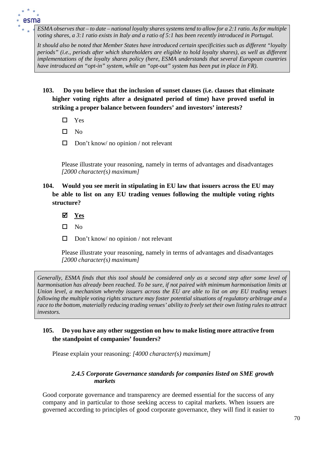*ESMA observes that – to date – national loyalty shares systems tend to allow for a 2:1 ratio. As for multiple voting shares, a 3:1 ratio exists in Italy and a ratio of 5:1 has been recently introduced in Portugal.*

*It should also be noted that Member States have introduced certain specificities such as different "loyalty periods" (i.e., periods after which shareholders are eligible to hold loyalty shares), as well as different implementations of the loyalty shares policy (here, ESMA understands that several European countries have introduced an "opt-in" system, while an "opt-out" system has been put in place in FR).*

- **103. Do you believe that the inclusion of sunset clauses (i.e. clauses that eliminate higher voting rights after a designated period of time) have proved useful in striking a proper balance between founders' and investors' interests?**
	- □ Yes
	- $\square$  No
	- $\Box$  Don't know/ no opinion / not relevant

Please illustrate your reasoning, namely in terms of advantages and disadvantages *[2000 character(s) maximum]*

- **104. Would you see merit in stipulating in EU law that issuers across the EU may be able to list on any EU trading venues following the multiple voting rights structure?**
	- **Yes**
	- $\square$  No
	- $\Box$  Don't know/ no opinion / not relevant

Please illustrate your reasoning, namely in terms of advantages and disadvantages *[2000 character(s) maximum]*

*Generally, ESMA finds that this tool should be considered only as a second step after some level of harmonisation has already been reached. To be sure, if not paired with minimum harmonisation limits at Union level, a mechanism whereby issuers across the EU are able to list on any EU trading venues following the multiple voting rights structure may foster potential situations of regulatory arbitrage and a race to the bottom, materially reducing trading venues' ability to freely set their own listing rules to attract investors.*

## **105. Do you have any other suggestion on how to make listing more attractive from the standpoint of companies' founders?**

Please explain your reasoning: *[4000 character(s) maximum]*

## *2.4.5 Corporate Governance standards for companies listed on SME growth markets*

Good corporate governance and transparency are deemed essential for the success of any company and in particular to those seeking access to capital markets. When issuers are governed according to principles of good corporate governance, they will find it easier to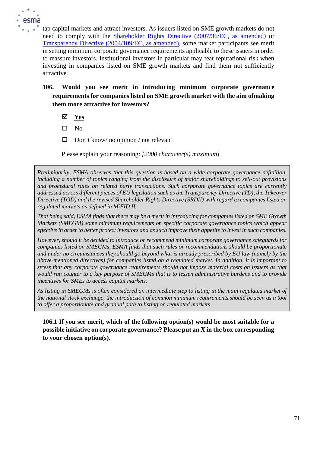

tap capital markets and attract investors. As issuers listed on SME growth markets do not need to comply with the [Shareholder Rights Directive \(2007/36/EC, as amended\)](https://eur-lex.europa.eu/legal-content/EN/TXT/?uri=CELEX%3A32021R0023) or [Transparency Directive \(2004/109/EC, as amended\), s](https://eur-lex.europa.eu/legal-content/EN/TXT/?uri=CELEX%3A32004L0109)ome market participants see merit in setting minimum corporate governance requirements applicable to these issuers in order to reassure investors. Institutional investors in particular may fear reputational risk when investing in companies listed on SME growth markets and find them not sufficiently attractive.

- **106. Would you see merit in introducing minimum corporate governance requirements for companies listed on SME growth market with the aim ofmaking them more attractive for investors?**
	- **Yes**
	- $\square$  No
	- $\Box$  Don't know/ no opinion / not relevant

Please explain your reasoning: *[2000 character(s) maximum]*

*Preliminarily, ESMA observes that this question is based on a wide corporate governance definition, including a number of topics ranging from the disclosure of major shareholdings to sell-out provisions and procedural rules on related party transactions. Such corporate governance topics are currently addressed across different pieces of EU legislation such as the Transparency Directive (TD), the Takeover Directive (TOD) and the revised Shareholder Rights Directive (SRDII) with regard to companies listed on regulated markets as defined in MiFID II.* 

*That being said, ESMA finds that there may be a merit in introducing for companies listed on SME Growth Markets (SMEGM) some minimum requirements on specific corporate governance topics which appear effective in order to better protect investors and as such improve their appetite to invest in such companies.* 

*However, should it be decided to introduce or recommend minimum corporate governance safeguards for companies listed on SMEGMs, ESMA finds that such rules or recommendations should be proportionate and under no circumstances they should go beyond what is already prescribed by EU law (namely by the above-mentioned directives) for companies listed on a regulated market. In addition, it is important to stress that any corporate governance requirements should not impose material costs on issuers as that would run counter to a key purpose of SMEGMs that is to lessen administrative burdens and to provide incentives for SMEs to access capital markets.* 

*As listing in SMEGMs is often considered an intermediate step to listing in the main regulated market of the national stock exchange, the introduction of common minimum requirements should be seen as a tool to offer a proportionate and gradual path to listing on regulated markets*

**106.1 If you see merit, which of the following option(s) would be most suitable for a possible initiative on corporate governance? Please put an X in the box corresponding to your chosen option(s).**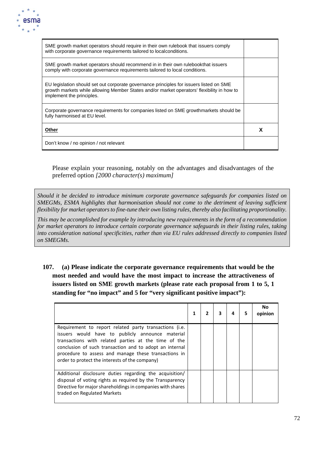

| SME growth market operators should require in their own rulebook that issuers comply<br>with corporate governance requirements tailored to local conditions.                                                       |   |
|--------------------------------------------------------------------------------------------------------------------------------------------------------------------------------------------------------------------|---|
| SME growth market operators should recommend in in their own rulebookthat issuers<br>comply with corporate governance requirements tailored to local conditions.                                                   |   |
| EU legislation should set out corporate governance principles for issuers listed on SME<br>growth markets while allowing Member States and/or market operators' flexibility in how to<br>implement the principles. |   |
| Corporate governance requirements for companies listed on SME growthmarkets should be<br>fully harmonised at EU level.                                                                                             |   |
| Other                                                                                                                                                                                                              | x |
| Don't know / no opinion / not relevant                                                                                                                                                                             |   |

Please explain your reasoning, notably on the advantages and disadvantages of the preferred option *[2000 character(s) maximum]*

*Should it be decided to introduce minimum corporate governance safeguards for companies listed on SMEGMs, ESMA highlights that harmonisation should not come to the detriment of leaving sufficient flexibility for market operators to fine-tune their own listing rules, thereby also facilitating proportionality.* 

*This may be accomplished for example by introducing new requirements in the form of a recommendation for market operators to introduce certain corporate governance safeguards in their listing rules, taking into consideration national specificities, rather than via EU rules addressed directly to companies listed on SMEGMs.*

**107. (a) Please indicate the corporate governance requirements that would be the most needed and would have the most impact to increase the attractiveness of issuers listed on SME growth markets (please rate each proposal from 1 to 5, 1 standing for "no impact" and 5 for "very significant positive impact"):**

|                                                                                                                                                                                                                                                                                                                                         |  | 3 | 4 | 5 | No<br>opinion |
|-----------------------------------------------------------------------------------------------------------------------------------------------------------------------------------------------------------------------------------------------------------------------------------------------------------------------------------------|--|---|---|---|---------------|
| Requirement to report related party transactions (i.e.<br>issuers would have to publicly announce material<br>transactions with related parties at the time of the<br>conclusion of such transaction and to adopt an internal<br>procedure to assess and manage these transactions in<br>order to protect the interests of the company) |  |   |   |   |               |
| Additional disclosure duties regarding the acquisition/<br>disposal of voting rights as required by the Transparency<br>Directive for major shareholdings in companies with shares<br>traded on Regulated Markets                                                                                                                       |  |   |   |   |               |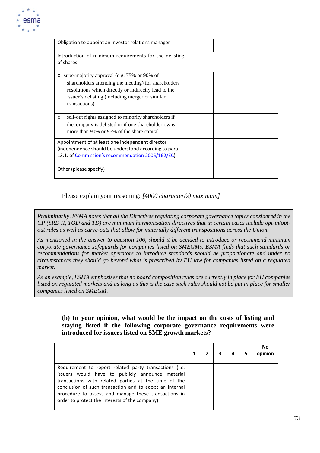

| Obligation to appoint an investor relations manager                                                                                                                                                             |  |  |  |
|-----------------------------------------------------------------------------------------------------------------------------------------------------------------------------------------------------------------|--|--|--|
| Introduction of minimum requirements for the delisting                                                                                                                                                          |  |  |  |
| of shares:                                                                                                                                                                                                      |  |  |  |
| o supermajority approval (e.g. 75% or 90% of<br>shareholders attending the meeting) for shareholders<br>resolutions which directly or indirectly lead to the<br>issuer's delisting (including merger or similar |  |  |  |
| transactions)                                                                                                                                                                                                   |  |  |  |
| sell-out rights assigned to minority shareholders if<br>$\circ$                                                                                                                                                 |  |  |  |
| the company is delisted or if one shareholder owns<br>more than 90% or 95% of the share capital.                                                                                                                |  |  |  |
| Appointment of at least one independent director<br>(independence should be understood according to para.<br>13.1. of Commission's recommendation 2005/162/EC)                                                  |  |  |  |
| Other (please specify)                                                                                                                                                                                          |  |  |  |

Please explain your reasoning: *[4000 character(s) maximum]*

*Preliminarily, ESMA notes that all the Directives regulating corporate governance topics considered in the CP (SRD II, TOD and TD) are minimum harmonisation directives that in certain cases include opt-in/optout rules as well as carve-outs that allow for materially different transpositions across the Union.* 

*As mentioned in the answer to question 106, should it be decided to introduce or recommend minimum corporate governance safeguards for companies listed on SMEGMs, ESMA finds that such standards or recommendations for market operators to introduce standards should be proportionate and under no circumstances they should go beyond what is prescribed by EU law for companies listed on a regulated market.*

*As an example, ESMA emphasises that no board composition rules are currently in place for EU companies*  listed on regulated markets and as long as this is the case such rules should not be put in place for smaller *companies listed on SMEGM.*

### **(b) In your opinion, what would be the impact on the costs of listing and staying listed if the following corporate governance requirements were introduced for issuers listed on SME growth markets?**

|                                                                                                                                                                                                                                                                                                                                         |  |  | No |
|-----------------------------------------------------------------------------------------------------------------------------------------------------------------------------------------------------------------------------------------------------------------------------------------------------------------------------------------|--|--|----|
| Requirement to report related party transactions (i.e.<br>issuers would have to publicly announce material<br>transactions with related parties at the time of the<br>conclusion of such transaction and to adopt an internal<br>procedure to assess and manage these transactions in<br>order to protect the interests of the company) |  |  |    |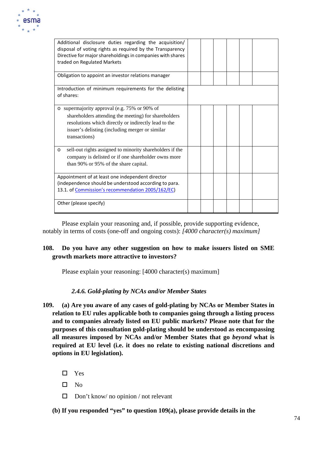

| Additional disclosure duties regarding the acquisition/<br>disposal of voting rights as required by the Transparency<br>Directive for major shareholdings in companies with shares<br>traded on Regulated Markets                |  |  |  |
|----------------------------------------------------------------------------------------------------------------------------------------------------------------------------------------------------------------------------------|--|--|--|
| Obligation to appoint an investor relations manager                                                                                                                                                                              |  |  |  |
| Introduction of minimum requirements for the delisting<br>of shares:                                                                                                                                                             |  |  |  |
| o supermajority approval (e.g. 75% or 90% of<br>shareholders attending the meeting) for shareholders<br>resolutions which directly or indirectly lead to the<br>issuer's delisting (including merger or similar<br>transactions) |  |  |  |
| sell-out rights assigned to minority shareholders if the<br>$\circ$<br>company is delisted or if one shareholder owns more<br>than 90% or 95% of the share capital.                                                              |  |  |  |
| Appointment of at least one independent director<br>(independence should be understood according to para.<br>13.1. of Commission's recommendation 2005/162/EC)                                                                   |  |  |  |
| Other (please specify)                                                                                                                                                                                                           |  |  |  |

Please explain your reasoning and, if possible, provide supporting evidence, notably in terms of costs (one-off and ongoing costs): *[4000 character(s) maximum]*

# **108. Do you have any other suggestion on how to make issuers listed on SME growth markets more attractive to investors?**

Please explain your reasoning: [4000 character(s) maximum]

## *2.4.6. Gold-plating by NCAs and/or Member States*

- **109. (a) Are you aware of any cases of gold-plating by NCAs or Member States in relation to EU rules applicable both to companies going through a listing process and to companies already listed on EU public markets? Please note that for the purposes of this consultation gold-plating should be understood as encompassing all measures imposed by NCAs and/or Member States that go** *beyond* **what is required at EU level (i.e. it does no relate to existing national discretions and options in EU legislation).**
	- □ Yes
	- $\square$  No
	- $\Box$  Don't know/ no opinion / not relevant
	- **(b) If you responded "yes" to question 109(a), please provide details in the**